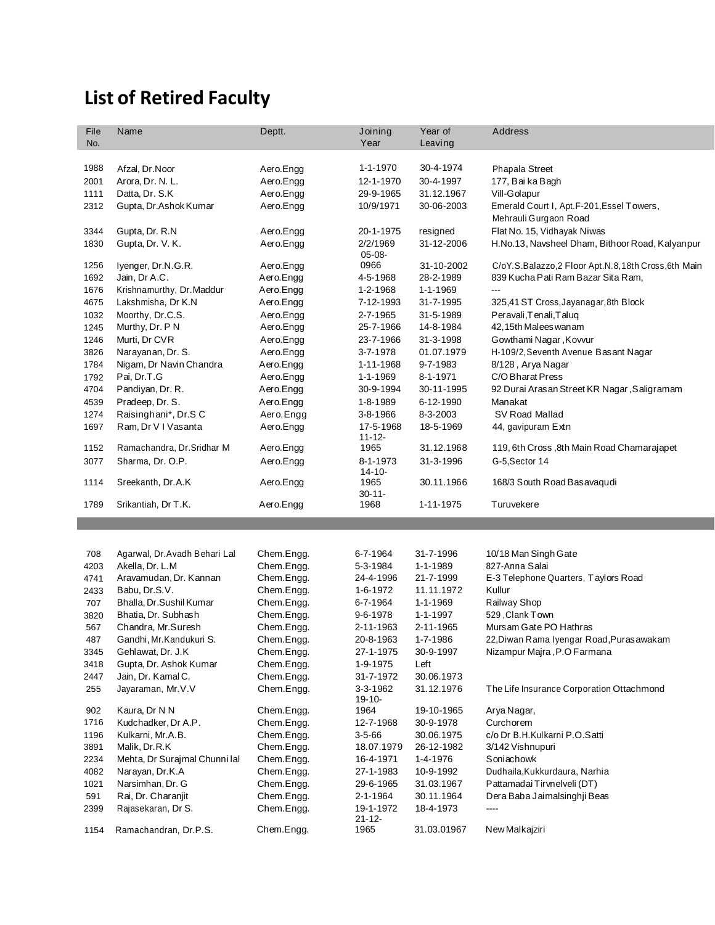## **List of Retired Faculty**

| File         | Name                               | Deptt.                 | Joining                  | Year of                 | <b>Address</b>                                     |
|--------------|------------------------------------|------------------------|--------------------------|-------------------------|----------------------------------------------------|
| No.          |                                    |                        | Year                     | Leaving                 |                                                    |
|              |                                    |                        | 1-1-1970                 | 30-4-1974               |                                                    |
| 1988         | Afzal, Dr.Noor<br>Arora, Dr. N. L. | Aero.Engg<br>Aero.Engg | 12-1-1970                |                         | Phapala Street<br>177, Bai ka Bagh                 |
| 2001         | Datta, Dr. S.K                     | Aero.Engg              | 29-9-1965                | 30-4-1997<br>31.12.1967 | Vill-Golapur                                       |
| 1111<br>2312 | Gupta, Dr.Ashok Kumar              | Aero.Engg              | 10/9/1971                | 30-06-2003              | Emerald Court I, Apt.F-201, Essel Towers,          |
|              |                                    |                        |                          |                         | Mehrauli Gurgaon Road                              |
| 3344         | Gupta, Dr. R.N                     | Aero.Engg              | 20-1-1975                | resigned                | Flat No. 15, Vidhayak Niwas                        |
| 1830         | Gupta, Dr. V. K.                   | Aero.Engg              | 2/2/1969<br>$05 - 08 -$  | 31-12-2006              | H.No.13, Navsheel Dham, Bithoor Road, Kalyanpur    |
| 1256         | Iyenger, Dr.N.G.R.                 | Aero.Engg              | 0966                     | 31-10-2002              | C/oY.S.Balazzo,2 Floor Apt.N.8,18th Cross,6th Main |
| 1692         | Jain, Dr A.C.                      | Aero.Engg              | 4-5-1968                 | 28-2-1989               | 839 Kucha Pati Ram Bazar Sita Ram,                 |
| 1676         | Krishnamurthy, Dr. Maddur          | Aero.Engg              | 1-2-1968                 | 1-1-1969                | $---$                                              |
| 4675         | Lakshmisha, Dr K.N                 | Aero.Engg              | 7-12-1993                | 31-7-1995               | 325,41 ST Cross, Jayanagar, 8th Block              |
| 1032         | Moorthy, Dr.C.S.                   | Aero.Engg              | 2-7-1965                 | 31-5-1989               | Peravali, Tenali, Taluq                            |
| 1245         | Murthy, Dr. P N                    | Aero.Engg              | 25-7-1966                | 14-8-1984               | 42,15th Malees wanam                               |
| 1246         | Murti, Dr CVR                      | Aero.Engg              | 23-7-1966                | 31-3-1998               | Gowthami Nagar, Kovvur                             |
| 3826         | Narayanan, Dr. S.                  | Aero.Engg              | 3-7-1978                 | 01.07.1979              | H-109/2, Seventh Avenue Basant Nagar               |
| 1784         | Nigam, Dr Navin Chandra            | Aero.Engg              | 1-11-1968                | 9-7-1983                | 8/128, Arya Nagar                                  |
| 1792         | Pai, Dr.T.G                        | Aero.Engg              | 1-1-1969                 | 8-1-1971                | C/O Bharat Press                                   |
| 4704         | Pandiyan, Dr. R.                   | Aero.Engg              | 30-9-1994                | 30-11-1995              | 92 Durai Arasan Street KR Nagar, Saligramam        |
| 4539         | Pradeep, Dr. S.                    | Aero.Engg              | 1-8-1989                 | 6-12-1990               | Manakat                                            |
| 1274         | Raisinghani*, Dr.S C               | Aero.Engg              | 3-8-1966                 | 8-3-2003                | SV Road Mallad                                     |
| 1697         | Ram, Dr V I Vasanta                | Aero.Engg              | 17-5-1968<br>$11 - 12 -$ | 18-5-1969               | 44, gavipuram Extn                                 |
| 1152         | Ramachandra, Dr.Sridhar M          | Aero.Engg              | 1965                     | 31.12.1968              | 119, 6th Cross, 8th Main Road Chamarajapet         |
| 3077         | Sharma, Dr. O.P.                   | Aero.Engg              | 8-1-1973<br>$14 - 10 -$  | 31-3-1996               | G-5, Sector 14                                     |
| 1114         | Sreekanth, Dr.A.K                  | Aero.Engg              | 1965<br>$30 - 11 -$      | 30.11.1966              | 168/3 South Road Basavaqudi                        |
| 1789         | Srikantiah, Dr T.K.                | Aero.Engg              | 1968                     | 1-11-1975               | Turuvekere                                         |
|              |                                    |                        |                          |                         |                                                    |
|              |                                    |                        |                          |                         |                                                    |
| 708          | Agarwal, Dr. Avadh Behari Lal      | Chem.Engg.             | 6-7-1964                 | 31-7-1996               | 10/18 Man Singh Gate                               |
| 4203         | Akella, Dr. L.M                    | Chem.Engg.             | 5-3-1984                 | 1-1-1989                | 827-Anna Salai                                     |
| 4741         | Aravamudan, Dr. Kannan             | Chem.Engg.             | 24-4-1996                | 21-7-1999               | E-3 Telephone Quarters, Taylors Road               |
| 2433         | Babu, Dr.S.V.                      | Chem.Engg.             | 1-6-1972                 | 11.11.1972              | Kullur                                             |
| 707          | Bhalla, Dr.Sushil Kumar            | Chem.Engg.             | 6-7-1964                 | 1-1-1969                | Railway Shop                                       |
| 3820         | Bhatia, Dr. Subhash                | Chem.Engg.             | 9-6-1978                 | 1-1-1997                | 529, Clank Town                                    |
| 567          | Chandra, Mr.Suresh                 | Chem.Engg.             | 2-11-1963                | 2-11-1965               | Mursam Gate PO Hathras                             |
| 487          | Gandhi, Mr. Kandukuri S.           | Chem.Engg.             | 20-8-1963                | 1-7-1986                | 22, Diwan Rama Iyengar Road, Purasawakam           |
| 3345         | Gehlawat, Dr. J.K                  | Chem.Engg.             | 27-1-1975                | 30-9-1997               | Nizampur Majra, P.O Farmana                        |
| 3418         | Gupta, Dr. Ashok Kumar             | Chem.Engg.             | 1-9-1975                 | Left                    |                                                    |
| 2447         | Jain, Dr. Kamal C.                 | Chem.Engg.             | 31-7-1972                | 30.06.1973              |                                                    |
| 255          | Jayaraman, Mr.V.V                  | Chem.Engg.             | 3-3-1962<br>$19 - 10 -$  | 31.12.1976              | The Life Insurance Corporation Ottachmond          |
| 902          | Kaura, Dr N N                      | Chem.Engg.             | 1964                     | 19-10-1965              | Arya Nagar,                                        |
| 1716         | Kudchadker, Dr A.P.                | Chem.Engg.             | 12-7-1968                | 30-9-1978               | Curchorem                                          |
| 1196         | Kulkarni, Mr.A.B.                  | Chem.Engg.             | $3 - 5 - 66$             | 30.06.1975              | c/o Dr B.H.Kulkarni P.O.Satti                      |
| 3891         | Malik, Dr.R.K                      | Chem.Engg.             | 18.07.1979               | 26-12-1982              | 3/142 Vishnupuri                                   |
| 2234         | Mehta, Dr Surajmal Chunni lal      | Chem.Engg.             | 16-4-1971                | 1-4-1976                | Soniachowk                                         |
| 4082         | Narayan, Dr.K.A                    | Chem.Engg.             | 27-1-1983                | 10-9-1992               | Dudhaila, Kukkurdaura, Narhia                      |
| 1021         | Narsimhan, Dr. G                   | Chem.Engg.             | 29-6-1965                | 31.03.1967              | Pattamadai Tirvnelveli (DT)                        |
| 591          | Rai, Dr. Charanjit                 | Chem.Engg.             | 2-1-1964                 | 30.11.1964              | Dera Baba Jaimalsinghji Beas                       |
| 2399         | Rajasekaran, Dr S.                 | Chem.Engg.             | 19-1-1972<br>$21 - 12 -$ | 18-4-1973               |                                                    |
| 1154         | Ramachandran, Dr.P.S.              | Chem.Engg.             | 1965                     | 31.03.01967             | New Malkajziri                                     |
|              |                                    |                        |                          |                         |                                                    |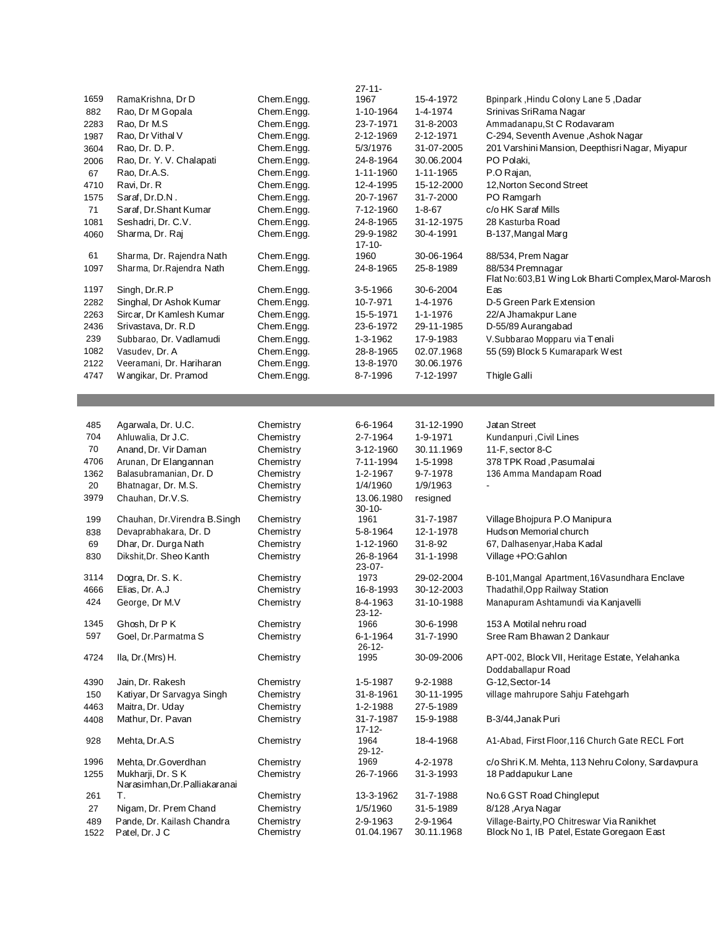|             |                                                   |                        | $27 - 11 -$              |                        |                                                                                          |
|-------------|---------------------------------------------------|------------------------|--------------------------|------------------------|------------------------------------------------------------------------------------------|
| 1659        | RamaKrishna, Dr D                                 | Chem.Engg.             | 1967                     | 15-4-1972              | Bpinpark, Hindu Colony Lane 5, Dadar                                                     |
| 882         | Rao, Dr M Gopala                                  | Chem.Engg.             | 1-10-1964                | 1-4-1974               | Srinivas SriRama Nagar                                                                   |
|             | Rao, Dr M.S                                       | Chem.Engg.             | 23-7-1971                | 31-8-2003              | Ammadanapu, St C Rodavaram                                                               |
| 2283        |                                                   |                        | 2-12-1969                |                        |                                                                                          |
| 1987        | Rao, Dr Vithal V                                  | Chem.Engg.             |                          | 2-12-1971              | C-294, Seventh Avenue, Ashok Nagar                                                       |
| 3604        | Rao, Dr. D. P.                                    | Chem.Engg.             | 5/3/1976                 | 31-07-2005             | 201 Varshini Mansion, Deepthisri Nagar, Miyapur                                          |
| 2006        | Rao, Dr. Y. V. Chalapati                          | Chem.Engg.             | 24-8-1964                | 30.06.2004             | PO Polaki,                                                                               |
| 67          | Rao, Dr.A.S.                                      | Chem.Engg.             | 1-11-1960                | 1-11-1965              | P.O Rajan,                                                                               |
| 4710        | Ravi, Dr. R                                       | Chem.Engg.             | 12-4-1995                | 15-12-2000             | 12, Norton Second Street                                                                 |
| 1575        | Saraf, Dr.D.N.                                    | Chem.Engg.             | 20-7-1967                | 31-7-2000              | PO Ramgarh                                                                               |
| 71          | Saraf, Dr.Shant Kumar                             | Chem.Engg.             | 7-12-1960                | $1 - 8 - 67$           | c/o HK Saraf Mills                                                                       |
| 1081        | Seshadri, Dr. C.V.                                | Chem.Engg.             | 24-8-1965                | 31-12-1975             | 28 Kasturba Road                                                                         |
| 4060        | Sharma, Dr. Raj                                   | Chem.Engg.             | 29-9-1982<br>17-10-      | 30-4-1991              | B-137, Mangal Marg                                                                       |
| 61          | Sharma, Dr. Rajendra Nath                         | Chem.Engg.             | 1960                     | 30-06-1964             | 88/534, Prem Nagar                                                                       |
| 1097        | Sharma, Dr. Rajendra Nath                         | Chem.Engg.             | 24-8-1965                | 25-8-1989              | 88/534 Premnagar<br>Flat No:603,B1 Wing Lok Bharti Complex, Marol-Marosh                 |
| 1197        | Singh, Dr.R.P                                     | Chem.Engg.             | 3-5-1966                 | 30-6-2004              | Eas                                                                                      |
| 2282        | Singhal, Dr Ashok Kumar                           | Chem.Engg.             | 10-7-971                 | 1-4-1976               | D-5 Green Park Extension                                                                 |
| 2263        | Sircar, Dr Kamlesh Kumar                          | Chem.Engg.             | 15-5-1971                | 1-1-1976               | 22/A Jhamakpur Lane                                                                      |
| 2436        | Srivastava, Dr. R.D                               | Chem.Engg.             | 23-6-1972                | 29-11-1985             | D-55/89 Aurangabad                                                                       |
| 239         | Subbarao, Dr. Vadlamudi                           | Chem.Engg.             | 1-3-1962                 | 17-9-1983              | V.Subbarao Mopparu via Tenali                                                            |
| 1082        |                                                   |                        |                          |                        |                                                                                          |
|             | Vasudev, Dr. A                                    | Chem.Engg.             | 28-8-1965                | 02.07.1968             | 55 (59) Block 5 Kumarapark West                                                          |
| 2122        | Veeramani, Dr. Hariharan                          | Chem.Engg.             | 13-8-1970                | 30.06.1976             |                                                                                          |
| 4747        | Wangikar, Dr. Pramod                              | Chem.Engg.             | 8-7-1996                 | 7-12-1997              | Thigle Galli                                                                             |
|             |                                                   |                        |                          |                        |                                                                                          |
|             |                                                   |                        |                          |                        |                                                                                          |
| 485         | Agarwala, Dr. U.C.                                | Chemistry              | 6-6-1964                 | 31-12-1990             | Jatan Street                                                                             |
| 704         | Ahluwalia, Dr J.C.                                | Chemistry              | 2-7-1964                 | 1-9-1971               | Kundanpuri, Civil Lines                                                                  |
| 70          | Anand, Dr. Vir Daman                              | Chemistry              | 3-12-1960                | 30.11.1969             | 11-F, sector 8-C                                                                         |
| 4706        | Arunan, Dr Elangannan                             | Chemistry              | 7-11-1994                | 1-5-1998               | 378 TPK Road, Pasumalai                                                                  |
| 1362        | Balasubramanian, Dr. D                            | Chemistry              | 1-2-1967                 | 9-7-1978               | 136 Amma Mandapam Road                                                                   |
| 20          | Bhatnagar, Dr. M.S.                               | Chemistry              | 1/4/1960                 | 1/9/1963               |                                                                                          |
| 3979        | Chauhan, Dr.V.S.                                  | Chemistry              | 13.06.1980<br>30-10-     | resigned               |                                                                                          |
| 199         | Chauhan, Dr. Virendra B. Singh                    | Chemistry              | 1961                     | 31-7-1987              | Village Bhojpura P.O Manipura                                                            |
| 838         | Devaprabhakara, Dr. D                             | Chemistry              | 5-8-1964                 | 12-1-1978              | Hudson Memorial church                                                                   |
| 69          | Dhar, Dr. Durga Nath                              | Chemistry              | 1-12-1960                | $31 - 8 - 92$          | 67, Dalhasenyar, Haba Kadal                                                              |
| 830         | Dikshit, Dr. Sheo Kanth                           | Chemistry              | 26-8-1964<br>$23 - 07 -$ | 31-1-1998              | Village +PO: Gahlon                                                                      |
| 3114        | Dogra, Dr. S. K.                                  | Chemistry              | 1973                     | 29-02-2004             | B-101, Mangal Apartment, 16Vasundhara Enclave                                            |
| 4666        | Elias, Dr. A.J                                    | Chemistry              | 16-8-1993                | 30-12-2003             | Thadathil, Opp Railway Station                                                           |
| 424         | George, Dr M.V                                    | Chemistry              | 8-4-1963<br>$23 - 12 -$  | 31-10-1988             | Manapuram Ashtamundi via Kanjavelli                                                      |
| 1345        | Ghosh, Dr P K                                     | Chemistry              | 1966                     | 30-6-1998              | 153 A Motilal nehru road                                                                 |
| 597         | Goel, Dr. Parmatma S                              | Chemistry              | 6-1-1964<br>$26 - 12 -$  | 31-7-1990              | Sree Ram Bhawan 2 Dankaur                                                                |
| 4724        | Ila, Dr.(Mrs) H.                                  | Chemistry              | 1995                     | 30-09-2006             | APT-002, Block VII, Heritage Estate, Yelahanka<br>Doddaballapur Road                     |
| 4390        | Jain, Dr. Rakesh                                  | Chemistry              | 1-5-1987                 | 9-2-1988               | G-12, Sector-14                                                                          |
|             |                                                   | Chemistry              |                          |                        | village mahrupore Sahju Fatehgarh                                                        |
| 150         | Katiyar, Dr Sarvagya Singh<br>Maitra, Dr. Uday    | Chemistry              | 31-8-1961                | 30-11-1995             |                                                                                          |
| 4463        |                                                   |                        | 1-2-1988                 | 27-5-1989              |                                                                                          |
| 4408        | Mathur, Dr. Pavan                                 | Chemistry              | 31-7-1987<br>$17 - 12 -$ | 15-9-1988              | B-3/44, Janak Puri                                                                       |
| 928         | Mehta, Dr.A.S                                     | Chemistry              | 1964<br>$29 - 12 -$      | 18-4-1968              | A1-Abad, First Floor, 116 Church Gate RECL Fort                                          |
| 1996        | Mehta, Dr.Goverdhan                               | Chemistry              | 1969                     | 4-2-1978               | c/o Shri K.M. Mehta, 113 Nehru Colony, Sardavpura                                        |
| 1255        | Mukharji, Dr. SK<br>Narasimhan, Dr. Palliakaranai | Chemistry              | 26-7-1966                | 31-3-1993              | 18 Paddapukur Lane                                                                       |
| 261         | Т.                                                | Chemistry              | 13-3-1962                | 31-7-1988              | No.6 GST Road Chingleput                                                                 |
| 27          | Nigam, Dr. Prem Chand                             | Chemistry              | 1/5/1960                 | 31-5-1989              | 8/128, Arya Nagar                                                                        |
|             |                                                   |                        |                          |                        |                                                                                          |
| 489<br>1522 | Pande, Dr. Kailash Chandra<br>Patel, Dr. J C      | Chemistry<br>Chemistry | 2-9-1963<br>01.04.1967   | 2-9-1964<br>30.11.1968 | Village-Bairty, PO Chitreswar Via Ranikhet<br>Block No 1, IB Patel, Estate Goregaon East |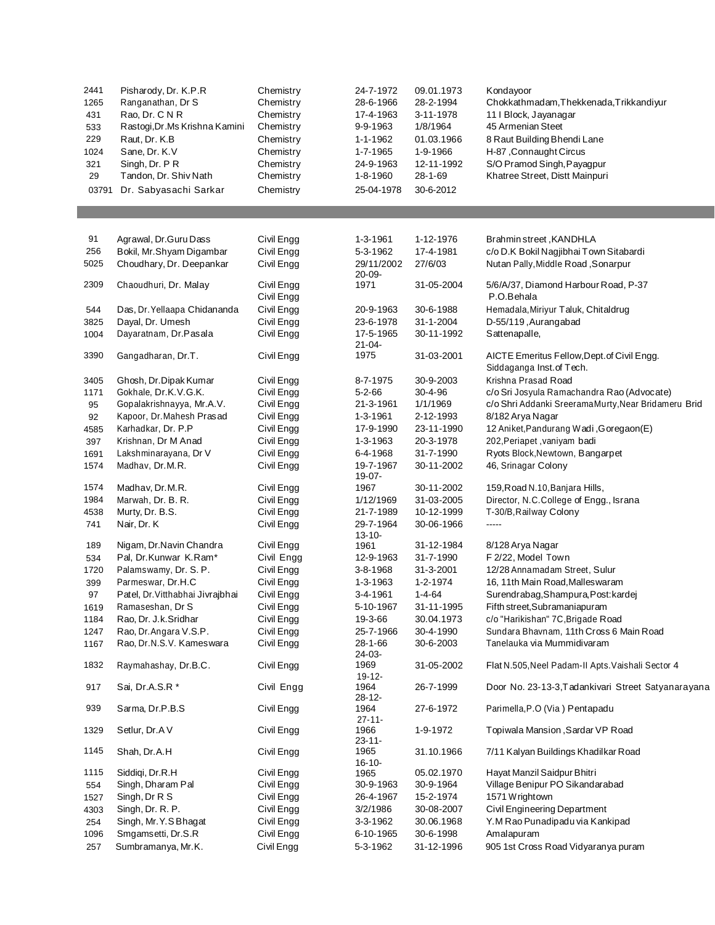| 2441  | Pisharody, Dr. K.P.R             | Chemistry  | 24-7-1972     | 09.01.1973      | Kondayoor                                           |
|-------|----------------------------------|------------|---------------|-----------------|-----------------------------------------------------|
|       |                                  |            |               |                 |                                                     |
| 1265  | Ranganathan, Dr S                | Chemistry  | 28-6-1966     | 28-2-1994       | Chokkathmadam, Thekkenada, Trikkandiyur             |
| 431   | Rao, Dr. C N R                   | Chemistry  | 17-4-1963     | 3-11-1978       | 11   Block, Jayanagar                               |
| 533   | Rastogi, Dr. Ms Krishna Kamini   | Chemistry  | 9-9-1963      | 1/8/1964        | 45 Armenian Steet                                   |
| 229   | Raut, Dr. K.B                    | Chemistry  | 1-1-1962      | 01.03.1966      | 8 Raut Building Bhendi Lane                         |
| 1024  | Sane, Dr. K.V                    | Chemistry  | 1-7-1965      | 1-9-1966        | H-87, Connaught Circus                              |
|       |                                  |            |               |                 |                                                     |
| 321   | Singh, Dr. PR                    | Chemistry  | 24-9-1963     | 12-11-1992      | S/O Pramod Singh, Payagpur                          |
| 29    | Tandon, Dr. Shiv Nath            | Chemistry  | 1-8-1960      | 28-1-69         | Khatree Street, Distt Mainpuri                      |
| 03791 | Dr. Sabyasachi Sarkar            | Chemistry  | 25-04-1978    | 30-6-2012       |                                                     |
|       |                                  |            |               |                 |                                                     |
|       |                                  |            |               |                 |                                                     |
|       |                                  |            |               |                 |                                                     |
|       |                                  |            |               |                 |                                                     |
| 91    | Agrawal, Dr.Guru Dass            | Civil Engg | 1-3-1961      | 1-12-1976       | Brahmin street, KANDHLA                             |
| 256   | Bokil, Mr.Shyam Digambar         | Civil Engg | 5-3-1962      | 17-4-1981       | c/o D.K Bokil Nagjibhai Town Sitabardi              |
| 5025  | Choudhary, Dr. Deepankar         | Civil Engg | 29/11/2002    | 27/6/03         | Nutan Pally, Middle Road, Sonarpur                  |
|       |                                  |            | $20 - 09 -$   |                 |                                                     |
| 2309  | Chaoudhuri, Dr. Malay            | Civil Engg | 1971          | 31-05-2004      | 5/6/A/37, Diamond Harbour Road, P-37                |
|       |                                  | Civil Engg |               |                 | P.O.Behala                                          |
|       |                                  |            |               |                 |                                                     |
| 544   | Das, Dr. Yellaapa Chidananda     | Civil Engg | 20-9-1963     | 30-6-1988       | Hemadala, Miriyur Taluk, Chitaldrug                 |
| 3825  | Dayal, Dr. Umesh                 | Civil Engg | 23-6-1978     | 31-1-2004       | D-55/119, Aurangabad                                |
| 1004  | Dayaratnam, Dr.Pasala            | Civil Engg | 17-5-1965     | 30-11-1992      | Sattenapalle,                                       |
|       |                                  |            | $21 - 04 -$   |                 |                                                     |
| 3390  | Gangadharan, Dr.T.               | Civil Engg | 1975          | 31-03-2001      | AICTE Emeritus Fellow, Dept. of Civil Engg.         |
|       |                                  |            |               |                 | Siddaganga Inst. of Tech.                           |
| 3405  | Ghosh, Dr. Dipak Kumar           | Civil Engg | 8-7-1975      | 30-9-2003       | Krishna Prasad Road                                 |
|       |                                  |            |               |                 |                                                     |
| 1171  | Gokhale, Dr.K.V.G.K.             | Civil Engg | $5 - 2 - 66$  | $30 - 4 - 96$   | c/o Sri Josyula Ramachandra Rao (Advocate)          |
| 95    | Gopalakrishnayya, Mr.A.V.        | Civil Engg | 21-3-1961     | 1/1/1969        | c/o Shri Addanki SreeramaMurty, Near Bridameru Brid |
| 92    | Kapoor, Dr. Mahesh Prasad        | Civil Engg | 1-3-1961      | 2-12-1993       | 8/182 Arya Nagar                                    |
| 4585  | Karhadkar, Dr. P.P               | Civil Engg | 17-9-1990     | 23-11-1990      | 12 Aniket, Pandurang Wadi, Goregaon(E)              |
| 397   | Krishnan, Dr M Anad              | Civil Engg | 1-3-1963      | 20-3-1978       | 202, Periapet, vaniyam badi                         |
|       |                                  |            |               |                 |                                                     |
| 1691  | Lakshminarayana, Dr V            | Civil Engg | 6-4-1968      | 31-7-1990       | Ryots Block, Newtown, Bangarpet                     |
| 1574  | Madhav, Dr.M.R.                  | Civil Engg | 19-7-1967     | 30-11-2002      | 46, Srinagar Colony                                 |
|       |                                  |            | 19-07-        |                 |                                                     |
| 1574  | Madhav, Dr.M.R.                  | Civil Engg | 1967          | 30-11-2002      | 159, Road N.10, Banjara Hills,                      |
| 1984  | Marwah, Dr. B. R.                | Civil Engg | 1/12/1969     | 31-03-2005      | Director, N.C.College of Engg., Israna              |
| 4538  | Murty, Dr. B.S.                  | Civil Engg | 21-7-1989     | 10-12-1999      | T-30/B, Railway Colony                              |
| 741   | Nair, Dr. K                      | Civil Engg | 29-7-1964     | 30-06-1966      | -----                                               |
|       |                                  |            | $13 - 10 -$   |                 |                                                     |
| 189   | Nigam, Dr.Navin Chandra          |            |               |                 |                                                     |
|       |                                  | Civil Engg | 1961          | 31-12-1984      | 8/128 Arya Nagar                                    |
| 534   | Pal, Dr.Kunwar K.Ram*            | Civil Engg | 12-9-1963     | 31-7-1990       | F 2/22, Model Town                                  |
| 1720  | Palamswamy, Dr. S. P.            | Civil Engg | 3-8-1968      | $31 - 3 - 2001$ | 12/28 Annamadam Street, Sulur                       |
| 399   | Parmeswar, Dr.H.C                | Civil Engg | 1-3-1963      | 1-2-1974        | 16, 11th Main Road, Malles waram                    |
| 97    | Patel, Dr. Vitthabhai Jivrajbhai | Civil Engg | 3-4-1961      | $1 - 4 - 64$    | Surendrabag, Shampura, Post: kardej                 |
|       | Ramaseshan, Dr S                 | Civil Engg | 5-10-1967     | 31-11-1995      | Fifth street, Subramaniapuram                       |
| 1619  |                                  |            |               |                 |                                                     |
| 1184  | Rao, Dr. J.k.Sridhar             | Civil Engg | 19-3-66       | 30.04.1973      | c/o "Harikishan" 7C, Brigade Road                   |
| 1247  | Rao, Dr. Angara V.S.P.           | Civil Engg | 25-7-1966     | 30-4-1990       | Sundara Bhavnam, 11th Cross 6 Main Road             |
| 1167  | Rao, Dr.N.S.V. Kameswara         | Civil Engg | $28 - 1 - 66$ | 30-6-2003       | Tanelauka via Mummidivaram                          |
|       |                                  |            | 24-03-        |                 |                                                     |
| 1832  | Raymahashay, Dr.B.C.             | Civil Engg | 1969          | 31-05-2002      | Flat N.505, Neel Padam-II Apts. Vaishali Sector 4   |
|       |                                  |            | $19 - 12 -$   |                 |                                                     |
| 917   | Sai, Dr.A.S.R *                  | Civil Engg | 1964          | 26-7-1999       | Door No. 23-13-3, Tadankivari Street Satyanarayana  |
|       |                                  |            | $28 - 12 -$   |                 |                                                     |
| 939   | Sarma, Dr.P.B.S                  | Civil Engg | 1964          | 27-6-1972       | Parimella, P.O (Via) Pentapadu                      |
|       |                                  |            |               |                 |                                                     |
|       |                                  |            | $27 - 11 -$   |                 |                                                     |
| 1329  | Setlur, Dr.A V                   | Civil Engg | 1966          | 1-9-1972        | Topiwala Mansion, Sardar VP Road                    |
|       |                                  |            | $23 - 11 -$   |                 |                                                     |
| 1145  | Shah, Dr.A.H                     | Civil Engg | 1965          | 31.10.1966      | 7/11 Kalyan Buildings Khadilkar Road                |
|       |                                  |            | $16 - 10 -$   |                 |                                                     |
| 1115  | Siddigi, Dr.R.H                  | Civil Engg | 1965          | 05.02.1970      | Hayat Manzil Saidpur Bhitri                         |
| 554   | Singh, Dharam Pal                | Civil Engg | 30-9-1963     | 30-9-1964       | Village Benipur PO Sikandarabad                     |
| 1527  | Singh, Dr R S                    | Civil Engg | 26-4-1967     | 15-2-1974       | 1571 Wrightown                                      |
| 4303  | Singh, Dr. R. P.                 | Civil Engg | 3/2/1986      | 30-08-2007      | Civil Engineering Department                        |
| 254   |                                  |            | 3-3-1962      |                 | Y.M Rao Punadipadu via Kankipad                     |
|       | Singh, Mr. Y. S Bhagat           | Civil Engg |               | 30.06.1968      |                                                     |
| 1096  | Smgamsetti, Dr.S.R               | Civil Engg | 6-10-1965     | 30-6-1998       | Amalapuram                                          |
| 257   | Sumbramanya, Mr.K.               | Civil Engg | 5-3-1962      | 31-12-1996      | 905 1st Cross Road Vidyaranya puram                 |
|       |                                  |            |               |                 |                                                     |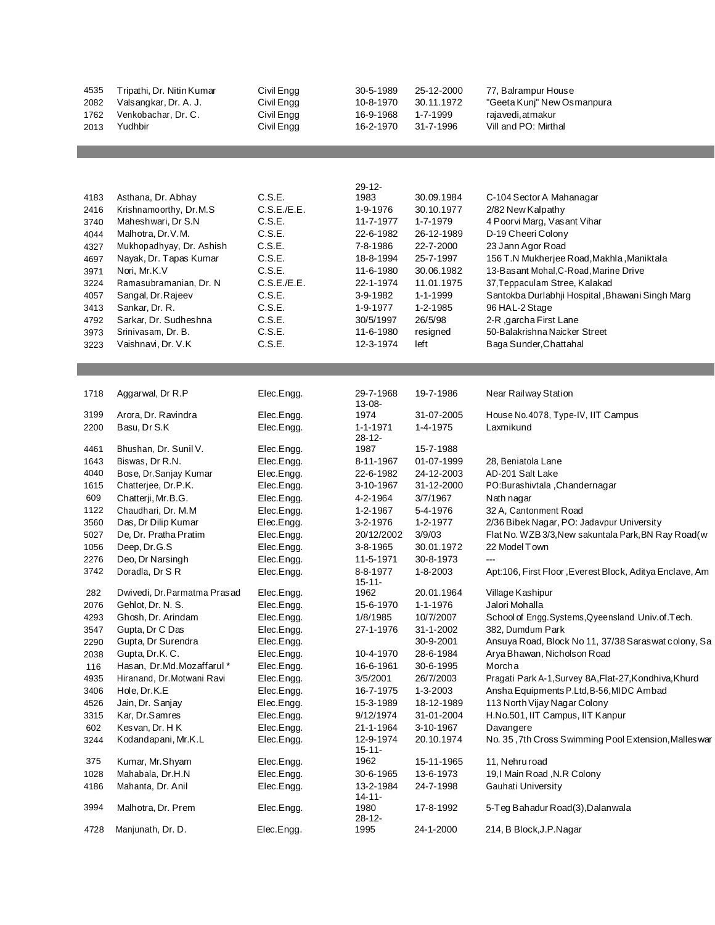| 4535<br>2082<br>1762<br>2013 | Tripathi, Dr. Nitin Kumar<br>Valsangkar, Dr. A. J.<br>Venkobachar, Dr. C.<br>Yudhbir | Civil Engg<br>Civil Engg<br>Civil Engg<br>Civil Engg | 30-5-1989<br>10-8-1970<br>16-9-1968<br>16-2-1970 | 25-12-2000<br>30.11.1972<br>1-7-1999<br>31-7-1996 | 77, Balrampur House<br>"Geeta Kunj" New Osmanpura<br>rajavedi, atmakur<br>Vill and PO: Mirthal |
|------------------------------|--------------------------------------------------------------------------------------|------------------------------------------------------|--------------------------------------------------|---------------------------------------------------|------------------------------------------------------------------------------------------------|
|                              |                                                                                      |                                                      |                                                  |                                                   |                                                                                                |
|                              |                                                                                      |                                                      |                                                  |                                                   |                                                                                                |
|                              |                                                                                      |                                                      | 29-12-                                           |                                                   |                                                                                                |
| 4183<br>2416                 | Asthana, Dr. Abhay<br>Krishnamoorthy, Dr.M.S.                                        | C.S.E.<br>C.S.E./E.E.                                | 1983<br>1-9-1976                                 | 30.09.1984<br>30.10.1977                          | C-104 Sector A Mahanagar<br>2/82 New Kalpathy                                                  |
| 3740                         | Maheshwari, Dr S.N                                                                   | C.S.E.                                               | 11-7-1977                                        | 1-7-1979                                          | 4 Poorvi Marg, Vasant Vihar                                                                    |
| 4044                         | Malhotra, Dr.V.M.                                                                    | C.S.E.                                               | 22-6-1982                                        | 26-12-1989                                        | D-19 Cheeri Colony                                                                             |
| 4327                         | Mukhopadhyay, Dr. Ashish                                                             | C.S.E.                                               | 7-8-1986                                         | 22-7-2000                                         | 23 Jann Agor Road                                                                              |
| 4697                         | Nayak, Dr. Tapas Kumar                                                               | C.S.E.                                               | 18-8-1994                                        | 25-7-1997                                         | 156 T.N Mukherjee Road, Makhla, Maniktala                                                      |
| 3971                         | Nori, Mr.K.V                                                                         | C.S.E.                                               | 11-6-1980                                        | 30.06.1982                                        | 13-Basant Mohal, C-Road, Marine Drive                                                          |
| 3224                         | Ramasubramanian, Dr. N                                                               | C.S.E./E.E.                                          | 22-1-1974                                        | 11.01.1975                                        | 37, Teppaculam Stree, Kalakad                                                                  |
| 4057                         | Sangal, Dr. Rajeev                                                                   | C.S.E.                                               | 3-9-1982                                         | 1-1-1999                                          | Santokba Durlabhii Hospital, Bhawani Singh Marg                                                |
| 3413                         | Sankar, Dr. R.                                                                       | C.S.E.                                               | 1-9-1977                                         | 1-2-1985                                          | 96 HAL-2 Stage                                                                                 |
| 4792                         | Sarkar, Dr. Sudheshna<br>Srinivasam, Dr. B.                                          | C.S.E.<br>C.S.E.                                     | 30/5/1997<br>11-6-1980                           | 26/5/98                                           | 2-R, garcha First Lane<br>50-Balakrishna Naicker Street                                        |
| 3973<br>3223                 | Vaishnavi, Dr. V.K                                                                   | C.S.E.                                               | 12-3-1974                                        | resigned<br>left                                  | Baga Sunder, Chattahal                                                                         |
|                              |                                                                                      |                                                      |                                                  |                                                   |                                                                                                |
|                              |                                                                                      |                                                      |                                                  |                                                   |                                                                                                |
|                              |                                                                                      |                                                      |                                                  |                                                   |                                                                                                |
| 1718                         | Aggarwal, Dr R.P                                                                     | Elec.Engg.                                           | 29-7-1968<br>13-08-                              | 19-7-1986                                         | Near Railway Station                                                                           |
| 3199                         | Arora, Dr. Ravindra                                                                  | Elec.Engg.                                           | 1974                                             | 31-07-2005                                        | House No. 4078, Type-IV, IIT Campus                                                            |
| 2200                         | Basu, Dr S.K                                                                         | Elec.Engg.                                           | 1-1-1971                                         | 1-4-1975                                          | Laxmikund                                                                                      |
|                              |                                                                                      |                                                      | 28-12-                                           |                                                   |                                                                                                |
| 4461                         | Bhushan, Dr. Sunil V.<br>Biswas, Dr R.N.                                             | Elec.Engg.                                           | 1987                                             | 15-7-1988<br>01-07-1999                           | 28, Beniatola Lane                                                                             |
| 1643<br>4040                 | Bose, Dr.Sanjay Kumar                                                                | Elec.Engg.<br>Elec.Engg.                             | 8-11-1967<br>22-6-1982                           | 24-12-2003                                        | AD-201 Salt Lake                                                                               |
| 1615                         | Chatterjee, Dr.P.K.                                                                  | Elec.Engg.                                           | 3-10-1967                                        | 31-12-2000                                        | PO:Burashivtala, Chandernagar                                                                  |
| 609                          | Chatterji, Mr.B.G.                                                                   | Elec.Engg.                                           | 4-2-1964                                         | 3/7/1967                                          | Nath nagar                                                                                     |
| 1122                         | Chaudhari, Dr. M.M.                                                                  | Elec.Engg.                                           | 1-2-1967                                         | 5-4-1976                                          | 32 A, Cantonment Road                                                                          |
| 3560                         | Das, Dr Dilip Kumar                                                                  | Elec.Engg.                                           | 3-2-1976                                         | 1-2-1977                                          | 2/36 Bibek Nagar, PO: Jadavpur University                                                      |
| 5027                         | De, Dr. Pratha Pratim                                                                | Elec.Engg.                                           | 20/12/2002                                       | 3/9/03                                            | Flat No. WZB 3/3, New sakuntala Park, BN Ray Road (w                                           |
| 1056                         | Deep, Dr.G.S                                                                         | Elec.Engg.                                           | 3-8-1965                                         | 30.01.1972                                        | 22 Model Town                                                                                  |
| 2276                         | Deo, Dr Narsingh                                                                     | Elec.Engg.                                           | 11-5-1971                                        | 30-8-1973                                         | $\overline{a}$                                                                                 |
| 3742                         | Doradla, Dr S R                                                                      | Elec.Engg.                                           | 8-8-1977<br>$15 - 11 -$                          | 1-8-2003                                          | Apt:106, First Floor, Everest Block, Aditya Enclave, Am                                        |
| 282                          | Dwivedi, Dr. Parmatma Prasad                                                         | Elec.Engg.                                           | 1962                                             | 20.01.1964                                        | Village Kashipur                                                                               |
| 2076                         | Gehlot, Dr. N. S.                                                                    | Elec.Engg.                                           | 15-6-1970                                        | 1-1-1976                                          | Jalori Mohalla                                                                                 |
| 4293                         | Ghosh, Dr. Arindam                                                                   | Elec.Engg.                                           | 1/8/1985                                         | 10/7/2007                                         | School of Engg. Systems, Qyeensland Univ. of. Tech.                                            |
| 3547                         | Gupta, Dr C Das                                                                      | Elec.Engg.                                           | 27-1-1976                                        | 31-1-2002                                         | 382, Dumdum Park                                                                               |
| 2290                         | Gupta, Dr Surendra                                                                   | Elec.Engg.                                           |                                                  | 30-9-2001                                         | Ansuya Road, Block No 11, 37/38 Saraswat colony, Sa                                            |
| 2038                         | Gupta, Dr.K.C.                                                                       | Elec.Engg.                                           | 10-4-1970                                        | 28-6-1984                                         | Arya Bhawan, Nicholson Road                                                                    |
| 116<br>4935                  | Hasan, Dr.Md.Mozaffarul*<br>Hiranand, Dr.Motwani Ravi                                | Elec.Engg.<br>Elec.Engg.                             | 16-6-1961<br>3/5/2001                            | 30-6-1995<br>26/7/2003                            | Morcha<br>Pragati Park A-1, Survey 8A, Flat-27, Kondhiva, Khurd                                |
| 3406                         | Hole, Dr.K.E                                                                         | Elec.Engg.                                           | 16-7-1975                                        | 1-3-2003                                          | Ansha Equipments P.Ltd, B-56, MIDC Ambad                                                       |
| 4526                         | Jain, Dr. Sanjay                                                                     | Elec.Engg.                                           | 15-3-1989                                        | 18-12-1989                                        | 113 North Vijay Nagar Colony                                                                   |
| 3315                         | Kar, Dr.Samres                                                                       | Elec.Engg.                                           | 9/12/1974                                        | 31-01-2004                                        | H.No.501, IIT Campus, IIT Kanpur                                                               |
| 602                          | Kesvan, Dr. HK                                                                       | Elec.Engg.                                           | 21-1-1964                                        | 3-10-1967                                         | Davangere                                                                                      |
| 3244                         | Kodandapani, Mr.K.L                                                                  | Elec.Engg.                                           | 12-9-1974                                        | 20.10.1974                                        | No. 35, 7th Cross Swimming Pool Extension, Malles war                                          |
| 375                          | Kumar, Mr.Shyam                                                                      | Elec.Engg.                                           | 15-11-<br>1962                                   | 15-11-1965                                        | 11, Nehru road                                                                                 |
| 1028                         | Mahabala, Dr.H.N                                                                     | Elec.Engg.                                           | 30-6-1965                                        | 13-6-1973                                         | 19,I Main Road, N.R Colony                                                                     |
| 4186                         | Mahanta, Dr. Anil                                                                    | Elec.Engg.                                           | 13-2-1984                                        | 24-7-1998                                         | Gauhati University                                                                             |
|                              |                                                                                      |                                                      | 14-11-                                           |                                                   |                                                                                                |
| 3994                         | Malhotra, Dr. Prem                                                                   | Elec.Engg.                                           | 1980<br>28-12-                                   | 17-8-1992                                         | 5-Teg Bahadur Road(3), Dalanwala                                                               |
| 4728                         | Manjunath, Dr. D.                                                                    | Elec.Engg.                                           | 1995                                             | 24-1-2000                                         | 214, B Block, J.P. Nagar                                                                       |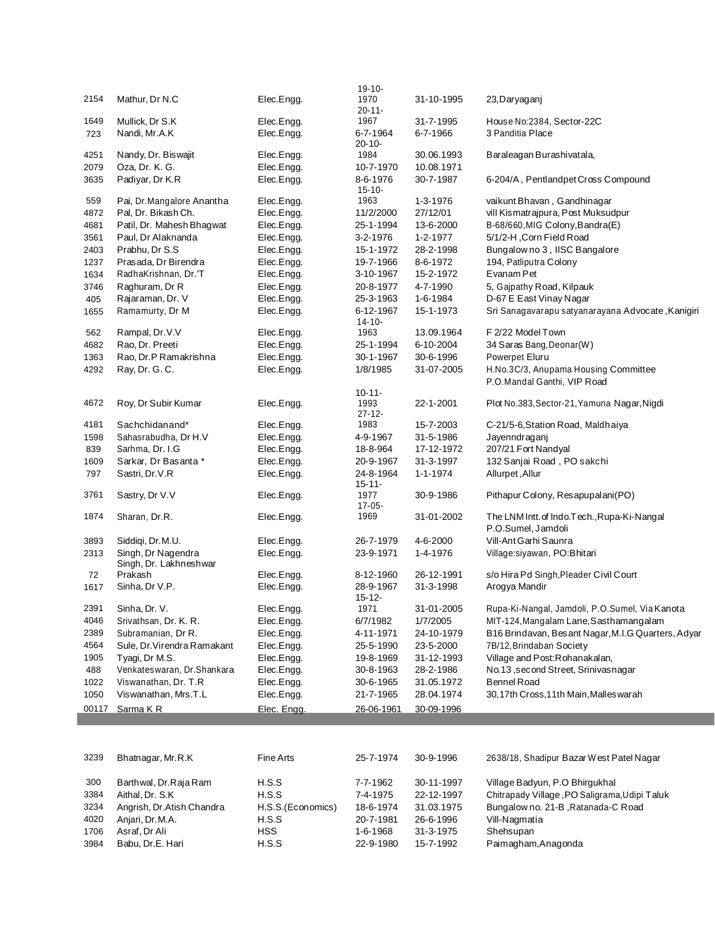| 2154  | Mathur, Dr N.C                               | Elec.Engg.        | $19 - 10 -$<br>1970     | 31-10-1995     | 23, Daryaganj                                      |
|-------|----------------------------------------------|-------------------|-------------------------|----------------|----------------------------------------------------|
|       |                                              |                   | 20-11-                  |                |                                                    |
| 1649  | Mullick, Dr S.K                              | Elec.Engg.        | 1967                    | 31-7-1995      | House No: 2384, Sector-22C                         |
| 723   | Nandi, Mr.A.K                                | Elec.Engg.        | 6-7-1964                | 6-7-1966       | 3 Panditia Place                                   |
|       |                                              |                   | $20 - 10 -$             |                |                                                    |
| 4251  | Nandy, Dr. Biswajit                          | Elec.Engg.        | 1984                    | 30.06.1993     | Baraleagan Burashivatala,                          |
| 2079  | Oza, Dr. K. G.                               | Elec.Engg.        | 10-7-1970               | 10.08.1971     |                                                    |
| 3635  | Padiyar, Dr K.R                              | Elec.Engg.        | 8-6-1976<br>$15 - 10 -$ | 30-7-1987      | 6-204/A, Pentlandpet Cross Compound                |
| 559   | Pai, Dr. Mangalore Anantha                   | Elec.Engg.        | 1963                    | 1-3-1976       | vaikunt Bhavan, Gandhinagar                        |
| 4872  | Pal, Dr. Bikash Ch.                          | Elec.Engg.        | 11/2/2000               | 27/12/01       | vill Kismatrajpura, Post Muksudpur                 |
| 4681  | Patil, Dr. Mahesh Bhagwat                    | Elec.Engg.        | 25-1-1994               | 13-6-2000      | B-68/660, MIG Colony, Bandra(E)                    |
| 3561  | Paul, Dr Alaknanda                           | Elec.Engg.        | 3-2-1976                | 1-2-1977       | 5/1/2-H, Corn Field Road                           |
| 2403  | Prabhu, Dr S.S                               | Elec.Engg.        | 15-1-1972               | 28-2-1998      | Bungalow no 3, IISC Bangalore                      |
| 1237  | Prasada, Dr Birendra                         | Elec.Engg.        | 19-7-1966               | 8-6-1972       | 194, Patliputra Colony                             |
| 1634  | RadhaKrishnan, Dr.'T                         | Elec.Engg.        | 3-10-1967               | 15-2-1972      | Evanam Pet                                         |
| 3746  | Raghuram, Dr R                               | Elec.Engg.        | 20-8-1977               | 4-7-1990       | 5, Gajpathy Road, Kilpauk                          |
| 405   | Rajaraman, Dr. V                             | Elec.Engg.        | 25-3-1963               | 1-6-1984       | D-67 E East Vinay Nagar                            |
| 1655  | Ramamurty, Dr M                              | Elec.Engg.        | 6-12-1967               | 15-1-1973      | Sri Sanagavarapu satyanarayana Advocate, Kanigiri  |
|       |                                              |                   | $14 - 10 -$             |                |                                                    |
| 562   | Rampal, Dr.V.V                               | Elec.Engg.        | 1963                    | 13.09.1964     | F 2/22 Model Town                                  |
| 4682  | Rao, Dr. Preeti                              | Elec.Engg.        | 25-1-1994               | 6-10-2004      | 34 Saras Bang, Deonar(W)                           |
| 1363  | Rao, Dr.P Ramakrishna                        | Elec.Engg.        | 30-1-1967               | 30-6-1996      | Powerpet Eluru                                     |
| 4292  | Ray, Dr. G. C.                               | Elec.Engg.        | 1/8/1985                | 31-07-2005     | H.No.3C/3, Anupama Housing Committee               |
|       |                                              |                   |                         |                | P.O.Mandal Ganthi, VIP Road                        |
|       |                                              |                   | $10 - 11 -$             |                |                                                    |
| 4672  | Roy, Dr Subir Kumar                          | Elec.Engg.        | 1993<br>$27 - 12 -$     | 22-1-2001      | Plot No.383, Sector-21, Yamuna Nagar, Nigdi        |
| 4181  | Sachchidanand*                               | Elec.Engg.        | 1983                    | 15-7-2003      | C-21/5-6, Station Road, Maldhaiya                  |
| 1598  | Sahasrabudha, Dr H.V                         | Elec.Engg.        | 4-9-1967                | 31-5-1986      | Jayenndraganj                                      |
| 839   | Sarhma, Dr. I.G                              | Elec.Engg.        | 18-8-964                | 17-12-1972     | 207/21 Fort Nandyal                                |
| 1609  | Sarkar, Dr Basanta *                         | Elec.Engg.        | 20-9-1967               | 31-3-1997      | 132 Sanjai Road, PO sakchi                         |
| 797   | Sastri, Dr.V.R                               | Elec.Engg.        | 24-8-1964               | $1 - 1 - 1974$ | Allurpet, Allur                                    |
|       |                                              |                   | $15 - 11 -$             |                |                                                    |
| 3761  | Sastry, Dr V.V                               | Elec.Engg.        | 1977                    | 30-9-1986      | Pithapur Colony, Resapupalani(PO)                  |
|       |                                              |                   | $17 - 05 -$             |                |                                                    |
| 1874  | Sharan, Dr.R.                                | Elec.Engg.        | 1969                    | 31-01-2002     | The LNM Intt. of Indo. Tech., Rupa-Ki-Nangal       |
|       |                                              |                   |                         |                | P.O.Sumel, Jamdoli                                 |
| 3893  | Siddigi, Dr.M.U.                             | Elec.Engg.        | 26-7-1979               | 4-6-2000       | Vill-Ant Garhi Saunra                              |
| 2313  | Singh, Dr Nagendra<br>Singh, Dr. Lakhneshwar | Elec.Engg.        | 23-9-1971               | 1-4-1976       | Village:siyawan, PO:Bhitari                        |
| 72    | Prakash                                      | Elec.Engg.        | 8-12-1960               | 26-12-1991     | s/o Hira Pd Singh, Pleader Civil Court             |
| 1617  | Sinha, Dr V.P.                               | Elec.Engg.        | 28-9-1967               | 31-3-1998      | Arogya Mandir                                      |
|       |                                              |                   | $15 - 12 -$             |                |                                                    |
| 2391  | Sinha, Dr. V.                                | Elec.Engg.        | 1971                    | 31-01-2005     | Rupa-Ki-Nangal, Jamdoli, P.O.Sumel, Via Kanota     |
| 4046  | Srivathsan, Dr. K. R.                        | Elec.Engg.        | 6/7/1982                | 1/7/2005       | MIT-124, Mangalam Lane, Sasthamangalam             |
| 2389  | Subramanian, Dr R.                           | Elec.Engg.        | 4-11-1971               | 24-10-1979     | B16 Brindavan, Besant Nagar, M.I.G Quarters, Adyar |
| 4564  | Sule, Dr. Virendra Ramakant                  | Elec.Engg.        | 25-5-1990               | 23-5-2000      | 7B/12, Brindaban Society                           |
| 1905  | Tyagi, Dr M.S.                               | Elec.Engg.        | 19-8-1969               | 31-12-1993     | Village and Post: Rohanakalan,                     |
| 488   | Venkateswaran, Dr.Shankara                   | Elec.Engg.        | 30-8-1963               | 28-2-1986      | No.13, second Street, Srinivasnagar                |
| 1022  | Viswanathan, Dr. T.R                         | Elec.Engg.        | 30-6-1965               | 31.05.1972     | <b>Bennel Road</b>                                 |
| 1050  | Viswanathan, Mrs.T.L                         | Elec.Engg.        | 21-7-1965               | 28.04.1974     | 30,17th Cross,11th Main, Malles warah              |
| 00117 | Sarma KR                                     | Elec. Engg.       | 26-06-1961              | 30-09-1996     |                                                    |
|       |                                              |                   |                         |                |                                                    |
|       |                                              |                   |                         |                |                                                    |
|       |                                              |                   |                         |                |                                                    |
| 3239  | Bhatnagar, Mr.R.K                            | <b>Fine Arts</b>  | 25-7-1974               | 30-9-1996      | 2638/18, Shadipur Bazar West Patel Nagar           |
|       |                                              |                   |                         |                |                                                    |
| 300   | Barthwal, Dr.Raja Ram                        | H.S.S             | 7-7-1962                | 30-11-1997     | Village Badyun, P.O Bhirgukhal                     |
| 3384  | Aithal, Dr. S.K                              | H.S.S             | 7-4-1975                | 22-12-1997     | Chitrapady Village, PO Saligrama, Udipi Taluk      |
| 3234  | Angrish, Dr.Atish Chandra                    | H.S.S.(Economics) | 18-6-1974               | 31.03.1975     | Bungalow no. 21-B, Ratanada-C Road                 |
| 4020  | Anjari, Dr.M.A.                              | H.S.S             | 20-7-1981               | 26-6-1996      | Vill-Nagmatia                                      |
| 1706  | Asraf, Dr Ali                                | <b>HSS</b>        | 1-6-1968                | 31-3-1975      | Shehsupan                                          |
| 3984  | Babu, Dr.E. Hari                             | H.S.S             | 22-9-1980               | 15-7-1992      | Paimagham, Anagonda                                |
|       |                                              |                   |                         |                |                                                    |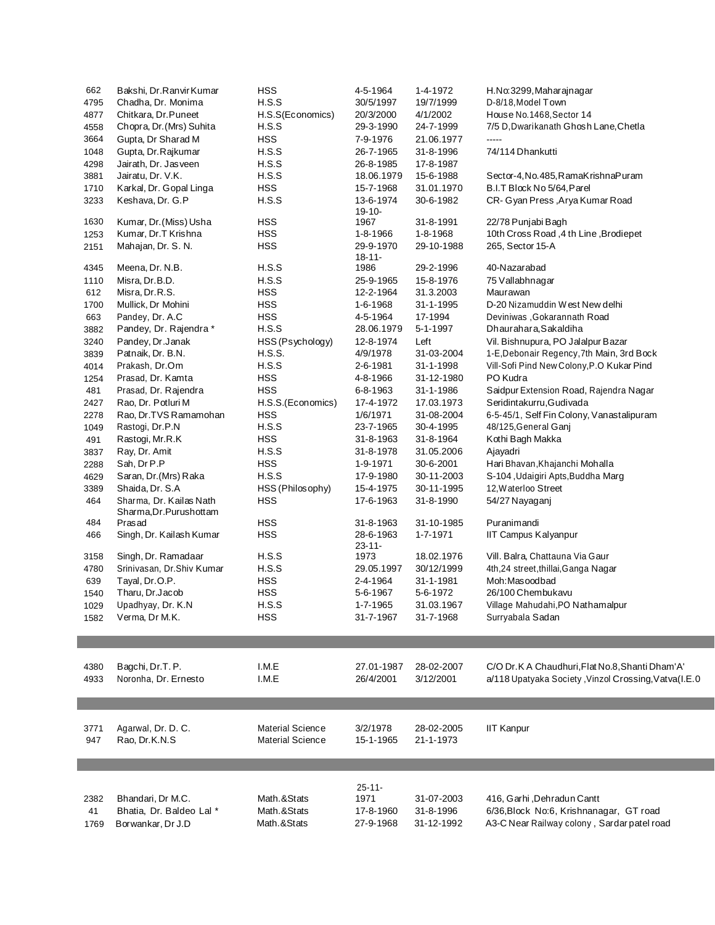| 662  | Bakshi, Dr.Ranvir Kumar                            | <b>HSS</b>              | 4-5-1964                    | 1-4-1972   | H.No.3299, Maharajnagar                                 |
|------|----------------------------------------------------|-------------------------|-----------------------------|------------|---------------------------------------------------------|
| 4795 | Chadha, Dr. Monima                                 | H.S.S                   | 30/5/1997                   | 19/7/1999  | D-8/18, Model Town                                      |
| 4877 | Chitkara, Dr. Puneet                               | H.S.S(Economics)        | 20/3/2000                   | 4/1/2002   | House No.1468, Sector 14                                |
| 4558 | Chopra, Dr. (Mrs) Suhita                           | H.S.S                   | 29-3-1990                   | 24-7-1999  | 7/5 D, Dwarikanath Ghosh Lane, Chetla                   |
| 3664 | Gupta, Dr Sharad M                                 | <b>HSS</b>              | 7-9-1976                    | 21.06.1977 | -----                                                   |
| 1048 | Gupta, Dr.Rajkumar                                 | H.S.S                   | 26-7-1965                   | 31-8-1996  | 74/114 Dhankutti                                        |
| 4298 | Jairath, Dr. Jasveen                               | H.S.S                   | 26-8-1985                   | 17-8-1987  |                                                         |
| 3881 | Jairatu, Dr. V.K.                                  | H.S.S                   | 18.06.1979                  | 15-6-1988  | Sector-4, No. 485, RamaKrishnaPuram                     |
| 1710 | Karkal, Dr. Gopal Linga                            | <b>HSS</b>              | 15-7-1968                   | 31.01.1970 | B.I.T Block No 5/64, Parel                              |
| 3233 | Keshava, Dr. G.P                                   | H.S.S                   | 13-6-1974<br>19-10-         | 30-6-1982  | CR-Gyan Press, Arya Kumar Road                          |
| 1630 | Kumar, Dr. (Miss) Usha                             | <b>HSS</b>              | 1967                        | 31-8-1991  | 22/78 Punjabi Bagh                                      |
| 1253 | Kumar, Dr.T Krishna                                | <b>HSS</b>              | 1-8-1966                    | 1-8-1968   | 10th Cross Road, 4 th Line, Brodiepet                   |
| 2151 | Mahajan, Dr. S. N.                                 | <b>HSS</b>              | 29-9-1970<br>$18 - 11 -$    | 29-10-1988 | 265, Sector 15-A                                        |
| 4345 | Meena, Dr. N.B.                                    | H.S.S                   | 1986                        | 29-2-1996  | 40-Nazarabad                                            |
| 1110 | Misra, Dr.B.D.                                     | H.S.S                   | 25-9-1965                   | 15-8-1976  | 75 Vallabhnagar                                         |
| 612  | Misra, Dr.R.S.                                     | <b>HSS</b>              | 12-2-1964                   | 31.3.2003  | Maurawan                                                |
| 1700 | Mullick, Dr Mohini                                 | <b>HSS</b>              | 1-6-1968                    | 31-1-1995  | D-20 Nizamuddin West New delhi                          |
| 663  | Pandey, Dr. A.C                                    | <b>HSS</b>              | 4-5-1964                    | 17-1994    | Deviniwas , Gokarannath Road                            |
| 3882 | Pandey, Dr. Rajendra *                             | H.S.S                   | 28.06.1979                  | 5-1-1997   | Dhaurahara, Sakaldiha                                   |
| 3240 | Pandey, Dr.Janak                                   | HSS (Psychology)        | 12-8-1974                   | Left       | Vil. Bishnupura, PO Jalalpur Bazar                      |
| 3839 | Patnaik, Dr. B.N.                                  | <b>H.S.S.</b>           | 4/9/1978                    | 31-03-2004 | 1-E, Debonair Regency, 7th Main, 3rd Bock               |
| 4014 | Prakash, Dr.Om                                     | H.S.S                   | 2-6-1981                    | 31-1-1998  | Vill-Sofi Pind New Colony, P.O Kukar Pind               |
| 1254 | Prasad, Dr. Kamta                                  | <b>HSS</b>              | 4-8-1966                    | 31-12-1980 | PO Kudra                                                |
| 481  | Prasad, Dr. Rajendra                               | <b>HSS</b>              | 6-8-1963                    | 31-1-1986  | Saidpur Extension Road, Rajendra Nagar                  |
| 2427 | Rao, Dr. Potluri M                                 | H.S.S.(Economics)       | 17-4-1972                   | 17.03.1973 | Seridintakurru, Gudivada                                |
| 2278 | Rao, Dr.TVS Ramamohan                              | <b>HSS</b>              | 1/6/1971                    | 31-08-2004 | 6-5-45/1, Self Fin Colony, Vanastalipuram               |
| 1049 | Rastogi, Dr.P.N                                    | H.S.S                   | 23-7-1965                   | 30-4-1995  | 48/125, General Ganj                                    |
| 491  | Rastogi, Mr.R.K                                    | <b>HSS</b>              | 31-8-1963                   | 31-8-1964  | Kothi Bagh Makka                                        |
| 3837 | Ray, Dr. Amit                                      | H.S.S                   | 31-8-1978                   | 31.05.2006 | Ajayadri                                                |
| 2288 | Sah, Dr P.P                                        | <b>HSS</b>              | 1-9-1971                    | 30-6-2001  | Hari Bhavan, Khajanchi Mohalla                          |
|      |                                                    | H.S.S                   |                             |            |                                                         |
| 4629 | Saran, Dr. (Mrs) Raka                              |                         | 17-9-1980                   | 30-11-2003 | S-104, Udaigiri Apts, Buddha Marg                       |
| 3389 | Shaida, Dr. S.A                                    | HSS (Philosophy)        | 15-4-1975                   | 30-11-1995 | 12, Waterloo Street                                     |
| 464  | Sharma, Dr. Kailas Nath<br>Sharma, Dr. Purushottam | <b>HSS</b>              | 17-6-1963                   | 31-8-1990  | 54/27 Nayaganj                                          |
| 484  | Prasad                                             | <b>HSS</b>              | 31-8-1963                   | 31-10-1985 | Puranimandi                                             |
| 466  | Singh, Dr. Kailash Kumar                           | <b>HSS</b><br>H.S.S     | 28-6-1963<br>23-11-<br>1973 | 1-7-1971   | IIT Campus Kalyanpur<br>Vill. Balra, Chattauna Via Gaur |
| 3158 | Singh, Dr. Ramadaar                                |                         |                             | 18.02.1976 |                                                         |
| 4780 | Srinivasan, Dr.Shiv Kumar                          | H.S.S                   | 29.05.1997                  | 30/12/1999 | 4th,24 street,thillai,Ganga Nagar                       |
| 639  | Tayal, Dr.O.P.                                     | <b>HSS</b>              | 2-4-1964                    | 31-1-1981  | Moh: Masoodbad                                          |
| 1540 | Tharu, Dr.Jacob                                    | <b>HSS</b>              | 5-6-1967                    | 5-6-1972   | 26/100 Chembukavu                                       |
| 1029 | Upadhyay, Dr. K.N                                  | H.S.S                   | 1-7-1965                    | 31.03.1967 | Village Mahudahi, PO Nathamalpur                        |
| 1582 | Verma, Dr M.K.                                     | HSS                     | 31-7-1967                   | 31-7-1968  | Surryabala Sadan                                        |
|      |                                                    |                         |                             |            |                                                         |
| 4380 | Bagchi, Dr.T. P.                                   | I.M.E                   | 27.01-1987                  | 28-02-2007 | C/O Dr.K A Chaudhuri, Flat No.8, Shanti Dham'A'         |
| 4933 | Noronha, Dr. Ernesto                               | I.M.E                   | 26/4/2001                   | 3/12/2001  | a/118 Upatyaka Society, Vinzol Crossing, Vatva(I.E.0    |
|      |                                                    |                         |                             |            |                                                         |
|      |                                                    |                         |                             |            |                                                         |
| 3771 | Agarwal, Dr. D. C.                                 | <b>Material Science</b> | 3/2/1978                    | 28-02-2005 | <b>IIT Kanpur</b>                                       |
| 947  | Rao, Dr.K.N.S                                      | Material Science        | 15-1-1965                   | 21-1-1973  |                                                         |
|      |                                                    |                         |                             |            |                                                         |
|      |                                                    |                         |                             |            |                                                         |
|      |                                                    |                         | 25-11-                      |            |                                                         |
| 2382 | Bhandari, Dr M.C.                                  | Math.&Stats             | 1971                        | 31-07-2003 | 416, Garhi, Dehradun Cantt                              |
| 41   | Bhatia, Dr. Baldeo Lal *                           | Math.&Stats             | 17-8-1960                   | 31-8-1996  | 6/36, Block No:6, Krishnanagar, GT road                 |
| 1769 | Borwankar, Dr J.D                                  | Math.&Stats             | 27-9-1968                   | 31-12-1992 | A3-C Near Railway colony, Sardar patel road             |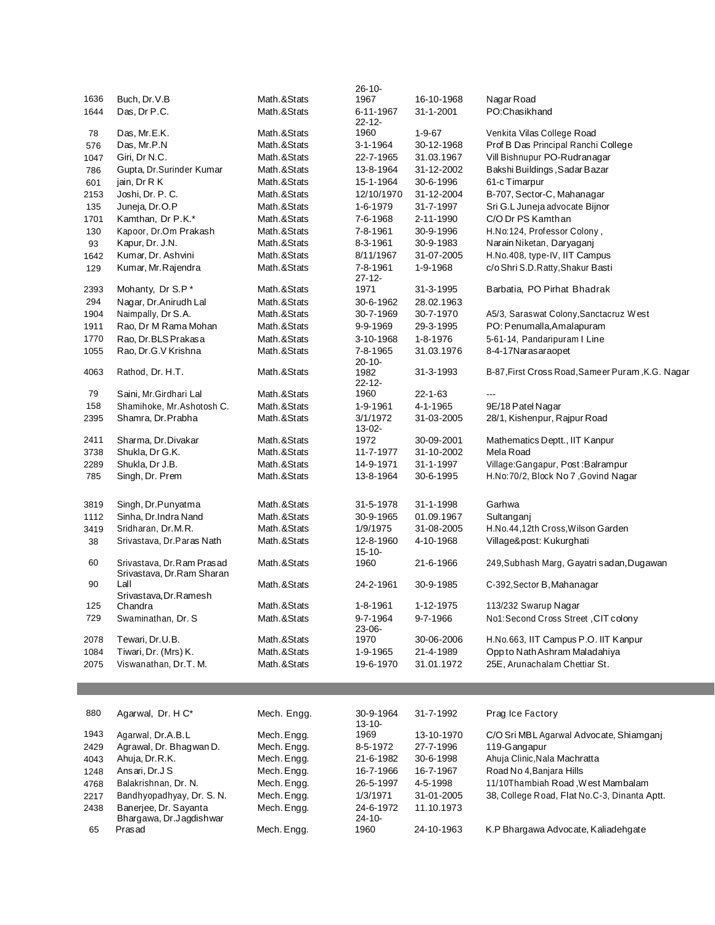|      |                                                         |             | $26 - 10 -$              |               |                                                  |
|------|---------------------------------------------------------|-------------|--------------------------|---------------|--------------------------------------------------|
| 1636 | Buch, Dr. V.B                                           | Math.&Stats | 1967                     | 16-10-1968    | Nagar Road                                       |
| 1644 | Das, Dr P.C.                                            | Math.&Stats | 6-11-1967<br>22-12-      | 31-1-2001     | PO:Chasikhand                                    |
| 78   | Das, Mr.E.K.                                            | Math.&Stats | 1960                     | $1 - 9 - 67$  | Venkita Vilas College Road                       |
| 576  | Das, Mr.P.N                                             | Math.&Stats | 3-1-1964                 | 30-12-1968    | Prof B Das Principal Ranchi College              |
| 1047 | Giri, Dr N.C.                                           | Math.&Stats | 22-7-1965                | 31.03.1967    | Vill Bishnupur PO-Rudranagar                     |
| 786  | Gupta, Dr.Surinder Kumar                                | Math.&Stats | 13-8-1964                | 31-12-2002    | Bakshi Buildings, Sadar Bazar                    |
| 601  | jain, Dr R K                                            | Math.&Stats | 15-1-1964                | 30-6-1996     | 61-c Timarpur                                    |
| 2153 | Joshi, Dr. P. C.                                        | Math.&Stats | 12/10/1970               | 31-12-2004    | B-707, Sector-C, Mahanagar                       |
| 135  | Juneja, Dr.O.P                                          | Math.&Stats | 1-6-1979                 | 31-7-1997     | Sri G.L Juneja advocate Bijnor                   |
| 1701 | Kamthan, Dr P.K.*                                       | Math.&Stats | 7-6-1968                 | 2-11-1990     | C/O Dr PS Kamthan                                |
| 130  | Kapoor, Dr.Om Prakash                                   | Math.&Stats | 7-8-1961                 | 30-9-1996     | H.No:124, Professor Colony,                      |
| 93   | Kapur, Dr. J.N.                                         | Math.&Stats | 8-3-1961                 | 30-9-1983     | Narain Niketan, Daryaganj                        |
| 1642 | Kumar, Dr. Ashvini                                      | Math.&Stats | 8/11/1967                | 31-07-2005    | H.No.408, type-IV, IIT Campus                    |
| 129  | Kumar, Mr. Rajendra                                     | Math.&Stats | 7-8-1961                 | 1-9-1968      | c/o Shri S.D.Ratty, Shakur Basti                 |
|      |                                                         |             | $27 - 12 -$              |               |                                                  |
| 2393 | Mohanty, Dr S.P*                                        | Math.&Stats | 1971                     | 31-3-1995     | Barbatia, PO Pirhat Bhadrak                      |
| 294  | Nagar, Dr.Anirudh Lal                                   | Math.&Stats | 30-6-1962                | 28.02.1963    |                                                  |
| 1904 | Naimpally, Dr S.A.                                      | Math.&Stats | 30-7-1969                | 30-7-1970     | A5/3, Saraswat Colony, Sanctacruz West           |
| 1911 | Rao, Dr M Rama Mohan                                    | Math.&Stats | 9-9-1969                 | 29-3-1995     | PO: Penumalla, Amalapuram                        |
| 1770 | Rao, Dr.BLS Prakasa                                     | Math.&Stats | 3-10-1968                | 1-8-1976      | 5-61-14, Pandaripuram I Line                     |
| 1055 | Rao, Dr.G.V Krishna                                     | Math.&Stats | 7-8-1965                 | 31.03.1976    | 8-4-17Narasaraopet                               |
|      |                                                         |             | $20 - 10 -$              |               |                                                  |
| 4063 | Rathod, Dr. H.T.                                        | Math.&Stats | 1982<br>$22 - 12 -$      | 31-3-1993     | B-87, First Cross Road, Sameer Puram, K.G. Nagar |
| 79   | Saini, Mr. Girdhari Lal                                 | Math.&Stats | 1960                     | $22 - 1 - 63$ |                                                  |
| 158  | Shamihoke, Mr.Ashotosh C.                               | Math.&Stats | 1-9-1961                 | 4-1-1965      | 9E/18 Patel Nagar                                |
| 2395 | Shamra, Dr. Prabha                                      | Math.&Stats | 3/1/1972                 | 31-03-2005    | 28/1, Kishenpur, Rajpur Road                     |
|      |                                                         |             | 13-02-                   |               |                                                  |
| 2411 | Sharma, Dr. Divakar                                     | Math.&Stats | 1972                     | 30-09-2001    | Mathematics Deptt., IIT Kanpur                   |
| 3738 | Shukla, Dr G.K.                                         | Math.&Stats | 11-7-1977                | 31-10-2002    | Mela Road                                        |
| 2289 | Shukla, Dr J.B.                                         | Math.&Stats | 14-9-1971                | 31-1-1997     | Village:Gangapur, Post:Balrampur                 |
| 785  | Singh, Dr. Prem                                         | Math.&Stats | 13-8-1964                | 30-6-1995     | H.No:70/2, Block No 7, Govind Nagar              |
| 3819 | Singh, Dr.Punyatma                                      | Math.&Stats | 31-5-1978                | 31-1-1998     | Garhwa                                           |
| 1112 | Sinha, Dr.Indra Nand                                    | Math.&Stats | 30-9-1965                | 01.09.1967    | Sultanganj                                       |
| 3419 | Sridharan, Dr.M.R.                                      | Math.&Stats | 1/9/1975                 | 31-08-2005    | H.No.44,12th Cross, Wilson Garden                |
| 38   | Srivastava, Dr.Paras Nath                               | Math.&Stats | 12-8-1960                | 4-10-1968     | Village&post: Kukurghati                         |
|      |                                                         |             | $15 - 10 -$              |               |                                                  |
| 60   | Srivastava, Dr. Ram Prasad<br>Srivastava, Dr.Ram Sharan | Math.&Stats | 1960                     | 21-6-1966     | 249, Subhash Marg, Gayatri sadan, Dugawan        |
| 90   | Lall                                                    | Math.&Stats | 24-2-1961                | 30-9-1985     | C-392, Sector B, Mahanagar                       |
| 125  | Srivastava, Dr. Ramesh<br>Chandra                       | Math.&Stats | 1-8-1961                 | 1-12-1975     | 113/232 Swarup Nagar                             |
| 729  |                                                         | Math.&Stats | 9-7-1964                 | 9-7-1966      | No1:Second Cross Street, CIT colony              |
|      | Swaminathan, Dr. S.                                     |             | $23 - 06 -$              |               |                                                  |
| 2078 | Tewari, Dr.U.B.                                         | Math.&Stats | 1970                     | 30-06-2006    | H.No.663, IIT Campus P.O. IIT Kanpur             |
| 1084 | Tiwari, Dr. (Mrs) K.                                    | Math.&Stats | 1-9-1965                 | 21-4-1989     | Opp to Nath Ashram Maladahiya                    |
| 2075 | Viswanathan, Dr.T. M.                                   | Math.&Stats | 19-6-1970                | 31.01.1972    | 25E, Arunachalam Chettiar St.                    |
|      |                                                         |             |                          |               |                                                  |
|      |                                                         |             |                          |               |                                                  |
| 880  | Agarwal, Dr. H C*                                       | Mech. Engg. | 30-9-1964<br>$13 - 10 -$ | 31-7-1992     | Prag Ice Factory                                 |
| 1943 | Agarwal, Dr.A.B.L                                       | Mech. Engg. | 1969                     | 13-10-1970    | C/O Sri MBL Agarwal Advocate, Shiamganj          |
| 2429 | Agrawal, Dr. Bhagwan D.                                 | Mech. Engg. | 8-5-1972                 | 27-7-1996     | 119-Gangapur                                     |
| 4043 | Ahuja, Dr. R.K.                                         | Mech. Engg. | 21-6-1982                | 30-6-1998     | Ahuja Clinic, Nala Machratta                     |
| 1248 | Ansari, Dr.J S                                          | Mech. Engg. | 16-7-1966                | 16-7-1967     | Road No 4, Banjara Hills                         |
| 4768 | Balakrishnan, Dr. N.                                    | Mech. Engg. | 26-5-1997                | 4-5-1998      | 11/10Thambiah Road, West Mambalam                |
| 2217 | Bandhyopadhyay, Dr. S. N.                               | Mech. Engg. | 1/3/1971                 | 31-01-2005    | 38, College Road, Flat No.C-3, Dinanta Aptt.     |
| 2438 | Banerjee, Dr. Sayanta                                   | Mech. Engg. | 24-6-1972                | 11.10.1973    |                                                  |
|      | Bhargawa, Dr.Jagdishwar                                 |             | 24-10-                   |               |                                                  |
| 65   | Prasad                                                  | Mech. Engg. | 1960                     | 24-10-1963    | K.P Bhargawa Advocate, Kaliadehgate              |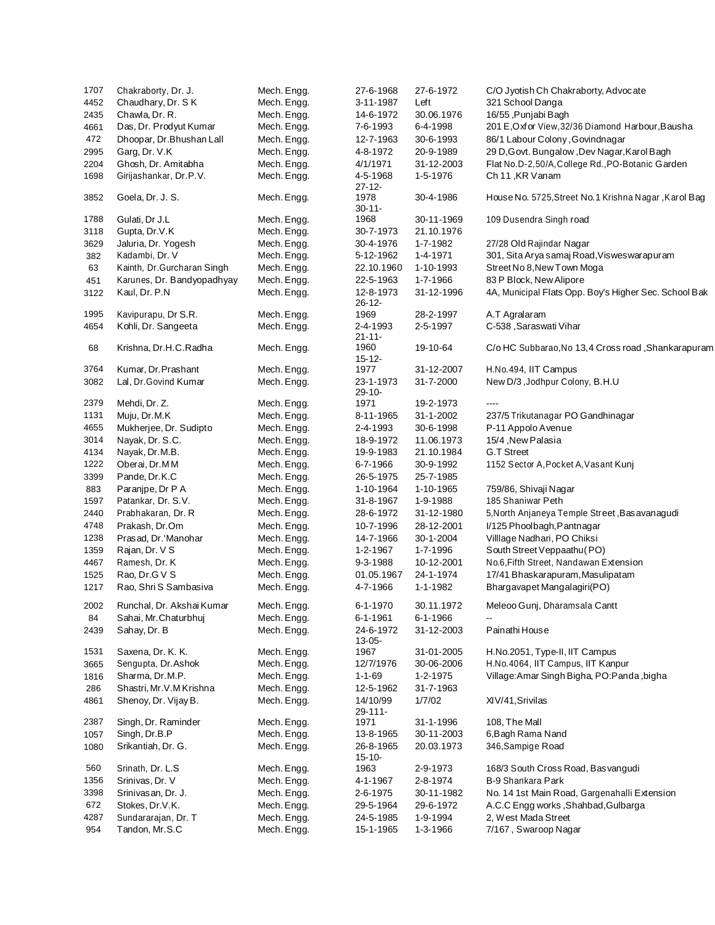| 1707 | Chakraborty, Dr. J.        | Mech. Engg. | 27-6-1968                | 27-6-1972  | C/O Jyotish Ch Chakraborty, Advocate                  |
|------|----------------------------|-------------|--------------------------|------------|-------------------------------------------------------|
| 4452 | Chaudhary, Dr. SK          | Mech. Engg. | 3-11-1987                | Left       | 321 School Danga                                      |
| 2435 | Chawla, Dr. R.             | Mech. Engg. | 14-6-1972                | 30.06.1976 | 16/55, Punjabi Bagh                                   |
| 4661 | Das, Dr. Prodyut Kumar     | Mech. Engg. | 7-6-1993                 | 6-4-1998   | 201 E, Oxfor View, 32/36 Diamond Harbour, Bausha      |
| 472  | Dhoopar, Dr.Bhushan Lall   | Mech. Engg. | 12-7-1963                | 30-6-1993  | 86/1 Labour Colony, Govindnagar                       |
| 2995 | Garg, Dr. V.K              | Mech. Engg. | 4-8-1972                 | 20-9-1989  | 29 D, Govt. Bungalow, Dev Nagar, Karol Bagh           |
| 2204 | Ghosh, Dr. Amitabha        | Mech. Engg. | 4/1/1971                 | 31-12-2003 | Flat No.D-2,50/A, College Rd., PO-Botanic Garden      |
| 1698 | Girijashankar, Dr.P.V.     | Mech. Engg. | 4-5-1968<br>$27 - 12 -$  | 1-5-1976   | Ch 11, KR Vanam                                       |
| 3852 | Goela, Dr. J. S.           | Mech. Engg. | 1978<br>$30 - 11 -$      | 30-4-1986  | House No. 5725, Street No. 1 Krishna Nagar, Karol Bag |
| 1788 | Gulati, Dr J.L             | Mech. Engg. | 1968                     | 30-11-1969 | 109 Dusendra Singh road                               |
| 3118 | Gupta, Dr.V.K              | Mech. Engg. | 30-7-1973                | 21.10.1976 |                                                       |
| 3629 | Jaluria, Dr. Yogesh        | Mech. Engg. | 30-4-1976                | 1-7-1982   | 27/28 Old Rajindar Nagar                              |
| 382  | Kadambi, Dr. V             | Mech. Engg. | 5-12-1962                | 1-4-1971   | 301, Sita Arya samaj Road, Visweswarapuram            |
| 63   | Kainth, Dr.Gurcharan Singh | Mech. Engg. | 22.10.1960               | 1-10-1993  | Street No 8, New Town Moga                            |
| 451  | Karunes, Dr. Bandyopadhyay | Mech. Engg. | 22-5-1963                | 1-7-1966   | 83 P Block, New Alipore                               |
| 3122 | Kaul, Dr. P.N              | Mech. Engg. | 12-8-1973                | 31-12-1996 | 4A, Municipal Flats Opp. Boy's Higher Sec. School Bak |
|      |                            |             | $26 - 12 -$              |            |                                                       |
| 1995 | Kavipurapu, Dr S.R.        | Mech. Engg. | 1969                     | 28-2-1997  | A.T Agralaram                                         |
| 4654 | Kohli, Dr. Sangeeta        | Mech. Engg. | 2-4-1993<br>$21 - 11 -$  | 2-5-1997   | C-538, Saraswati Vihar                                |
| 68   | Krishna, Dr.H.C.Radha      | Mech. Engg. | 1960<br>$15 - 12 -$      | 19-10-64   | C/o HC Subbarao, No 13,4 Cross road, Shankarapuram    |
| 3764 | Kumar, Dr. Prashant        | Mech. Engg. | 1977                     | 31-12-2007 | H.No.494, IIT Campus                                  |
| 3082 | Lal, Dr. Govind Kumar      | Mech. Engg. | 23-1-1973<br>$29 - 10 -$ | 31-7-2000  | New D/3, Jodhpur Colony, B.H.U                        |
| 2379 | Mehdi, Dr. Z.              | Mech. Engg. | 1971                     | 19-2-1973  | $\cdots$                                              |
| 1131 | Muju, Dr.M.K               | Mech. Engg. | 8-11-1965                | 31-1-2002  | 237/5 Trikutanagar PO Gandhinagar                     |
| 4655 | Mukherjee, Dr. Sudipto     | Mech. Engg. | 2-4-1993                 | 30-6-1998  | P-11 Appolo Avenue                                    |
| 3014 | Nayak, Dr. S.C.            | Mech. Engg. | 18-9-1972                | 11.06.1973 | 15/4, New Palasia                                     |
| 4134 | Nayak, Dr.M.B.             | Mech. Engg. | 19-9-1983                | 21.10.1984 | G.T Street                                            |
| 1222 | Oberai, Dr.MM              | Mech. Engg. | 6-7-1966                 | 30-9-1992  | 1152 Sector A, Pocket A, Vasant Kunj                  |
| 3399 | Pande, Dr.K.C              | Mech. Engg. | 26-5-1975                | 25-7-1985  |                                                       |
| 883  | Paranjpe, Dr P A           | Mech. Engg. | 1-10-1964                | 1-10-1965  | 759/86, Shivaji Nagar                                 |
| 1597 | Patankar, Dr. S.V.         | Mech. Engg. | 31-8-1967                | 1-9-1988   | 185 Shaniwar Peth                                     |
| 2440 | Prabhakaran, Dr. R         | Mech. Engg. | 28-6-1972                | 31-12-1980 | 5, North Anjaneya Temple Street, Basavanagudi         |
| 4748 | Prakash, Dr.Om             | Mech. Engg. | 10-7-1996                | 28-12-2001 | I/125 Phoolbagh, Pantnagar                            |
| 1238 | Prasad, Dr.'Manohar        | Mech. Engg. | 14-7-1966                | 30-1-2004  | Villlage Nadhari, PO Chiksi                           |
| 1359 | Rajan, Dr. V S             | Mech. Engg. | 1-2-1967                 | 1-7-1996   | South Street Veppaathu (PO)                           |
| 4467 | Ramesh, Dr. K              | Mech. Engg. | 9-3-1988                 | 10-12-2001 | No.6, Fifth Street, Nandawan Extension                |
| 1525 | Rao, Dr.G V S              | Mech. Engg. | 01.05.1967               | 24-1-1974  | 17/41 Bhaskarapuram, Masulipatam                      |
| 1217 | Rao, Shri S Sambasiva      | Mech. Engg. | 4-7-1966                 | 1-1-1982   | Bhargavapet Mangalagiri(PO)                           |
| 2002 | Runchal, Dr. Akshai Kumar  | Mech. Engg. | 6-1-1970                 | 30.11.1972 | Meleoo Gunj, Dharamsala Cantt                         |
| 84   | Sahai, Mr. Chaturbhui      | Mech. Engg. | 6-1-1961                 | 6-1-1966   |                                                       |
| 2439 | Sahay, Dr. B               | Mech. Engg. | 24-6-1972<br>$13 - 05 -$ | 31-12-2003 | Painathi House                                        |
| 1531 | Saxena, Dr. K. K.          | Mech. Engg. | 1967                     | 31-01-2005 | H.No.2051, Type-II, IIT Campus                        |
| 3665 | Sengupta, Dr. Ashok        | Mech. Engg. | 12/7/1976                | 30-06-2006 | H.No.4064, IIT Campus, IIT Kanpur                     |
| 1816 | Sharma, Dr.M.P.            | Mech. Engg. | $1 - 1 - 69$             | 1-2-1975   | Village: Amar Singh Bigha, PO: Panda, bigha           |
| 286  | Shastri, Mr.V.M Krishna    | Mech. Engg. | 12-5-1962                | 31-7-1963  |                                                       |
| 4861 | Shenoy, Dr. Vijay B.       | Mech. Engg. | 14/10/99<br>29-111-      | 1/7/02     | XIV/41, Srivilas                                      |
| 2387 | Singh, Dr. Raminder        | Mech. Engg. | 1971                     | 31-1-1996  | 108, The Mall                                         |
| 1057 | Singh, Dr.B.P              | Mech. Engg. | 13-8-1965                | 30-11-2003 | 6, Bagh Rama Nand                                     |
| 1080 | Srikantiah, Dr. G.         | Mech. Engg. | 26-8-1965<br>$15 - 10 -$ | 20.03.1973 | 346, Sampige Road                                     |
| 560  | Srinath, Dr. L.S           | Mech. Engg. | 1963                     | 2-9-1973   | 168/3 South Cross Road, Basvangudi                    |
| 1356 | Srinivas, Dr. V            | Mech. Engg. | 4-1-1967                 | 2-8-1974   | B-9 Shankara Park                                     |
| 3398 | Srinivasan, Dr. J.         | Mech. Engg. | 2-6-1975                 | 30-11-1982 | No. 14 1st Main Road, Gargenahalli Extension          |
| 672  | Stokes, Dr.V.K.            | Mech. Engg. | 29-5-1964                | 29-6-1972  | A.C.C Engg works, Shahbad, Gulbarga                   |
| 4287 | Sundararajan, Dr. T        | Mech. Engg. | 24-5-1985                | 1-9-1994   | 2, West Mada Street                                   |
| 954  | Tandon, Mr.S.C             | Mech. Engg. | 15-1-1965                | 1-3-1966   | 7/167, Swaroop Nagar                                  |
|      |                            |             |                          |            |                                                       |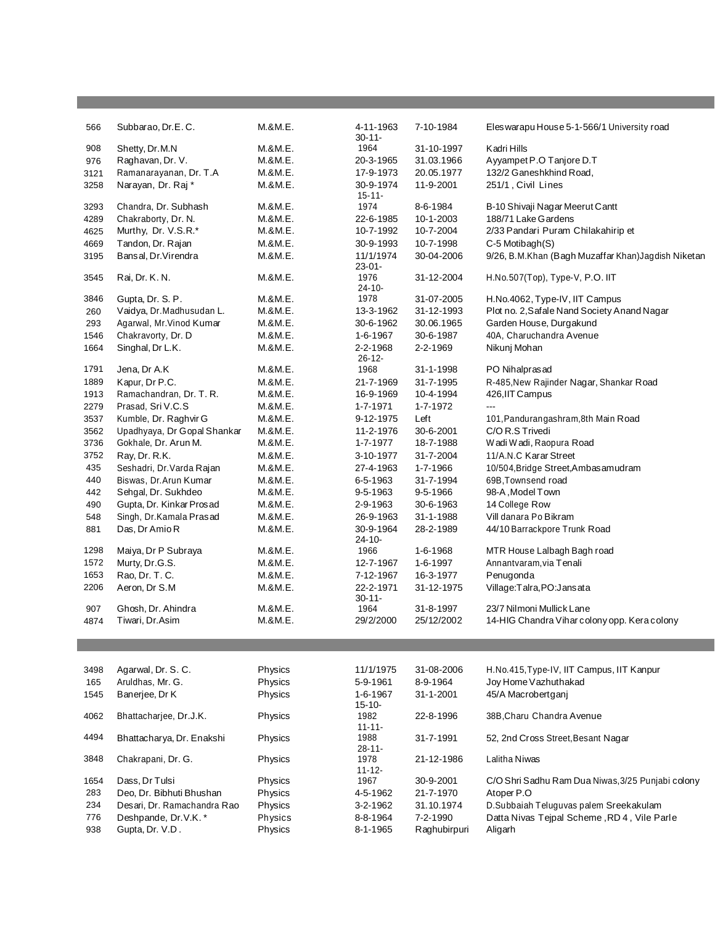| 566  | Subbarao, Dr.E.C.           | M.&M.E. | 4-11-1963<br>$30 - 11 -$ | 7-10-1984       | Eles warapu House 5-1-566/1 University road         |
|------|-----------------------------|---------|--------------------------|-----------------|-----------------------------------------------------|
| 908  | Shetty, Dr.M.N              | M.&M.E. | 1964                     | 31-10-1997      | Kadri Hills                                         |
| 976  | Raghavan, Dr. V.            | M.&M.E. | 20-3-1965                | 31.03.1966      | Ayyampet P.O Tanjore D.T                            |
| 3121 | Ramanarayanan, Dr. T.A      | M.&M.E. | 17-9-1973                | 20.05.1977      | 132/2 Ganeshkhind Road,                             |
| 3258 | Narayan, Dr. Raj*           | M.&M.E. | 30-9-1974<br>$15 - 11 -$ | 11-9-2001       | 251/1, Civil Lines                                  |
| 3293 | Chandra, Dr. Subhash        | M.&M.E. | 1974                     | 8-6-1984        | B-10 Shivaji Nagar Meerut Cantt                     |
| 4289 | Chakraborty, Dr. N.         | M.&M.E. | 22-6-1985                | 10-1-2003       | 188/71 Lake Gardens                                 |
| 4625 | Murthy, Dr. V.S.R.*         | M.&M.E. | 10-7-1992                | 10-7-2004       | 2/33 Pandari Puram Chilakahirip et                  |
| 4669 | Tandon, Dr. Rajan           | M.&M.E. | 30-9-1993                | 10-7-1998       | C-5 Motibagh(S)                                     |
| 3195 | Bansal, Dr. Virendra        | M.&M.E. | 11/1/1974<br>$23 - 01 -$ | 30-04-2006      | 9/26, B.M.Khan (Bagh Muzaffar Khan) Jagdish Niketan |
| 3545 | Rai, Dr. K. N.              | M.&M.E. | 1976<br>24-10-           | 31-12-2004      | H.No.507(Top), Type-V, P.O. IIT                     |
| 3846 | Gupta, Dr. S. P.            | M.&M.E. | 1978                     | 31-07-2005      | H.No.4062, Type-IV, IIT Campus                      |
| 260  | Vaidya, Dr.Madhusudan L.    | M.&M.E. | 13-3-1962                | 31-12-1993      | Plot no. 2, Safale Nand Society Anand Nagar         |
| 293  | Agarwal, Mr. Vinod Kumar    | M.&M.E. | 30-6-1962                | 30.06.1965      | Garden House, Durgakund                             |
| 1546 | Chakravorty, Dr. D          | M.&M.E. | 1-6-1967                 | 30-6-1987       | 40A, Charuchandra Avenue                            |
| 1664 | Singhal, Dr L.K.            | M.&M.E. | 2-2-1968<br>$26 - 12 -$  | 2-2-1969        | Nikunj Mohan                                        |
| 1791 | Jena, Dr A.K                | M.&M.E. | 1968                     | 31-1-1998       | PO Nihalprasad                                      |
| 1889 | Kapur, Dr P.C.              | M.&M.E. | 21-7-1969                | 31-7-1995       | R-485, New Rajinder Nagar, Shankar Road             |
| 1913 | Ramachandran, Dr. T. R.     | M.&M.E. | 16-9-1969                | 10-4-1994       | 426, IIT Campus                                     |
| 2279 | Prasad, Sri V.C.S           | M.&M.E. | 1-7-1971                 | 1-7-1972        | $\overline{a}$                                      |
| 3537 | Kumble, Dr. Raghvir G       | M.&M.E. | 9-12-1975                | Left            | 101, Pandurangashram, 8th Main Road                 |
| 3562 | Upadhyaya, Dr Gopal Shankar | M.&M.E. | 11-2-1976                | 30-6-2001       | C/O R.S Trivedi                                     |
| 3736 | Gokhale, Dr. Arun M.        | M.&M.E. | 1-7-1977                 | 18-7-1988       | Wadi Wadi, Raopura Road                             |
| 3752 | Ray, Dr. R.K.               | M.&M.E. | 3-10-1977                | 31-7-2004       | 11/A.N.C Karar Street                               |
| 435  | Seshadri, Dr. Varda Rajan   | M.&M.E. | 27-4-1963                | 1-7-1966        | 10/504, Bridge Street, Ambasamudram                 |
| 440  | Biswas, Dr. Arun Kumar      | M.&M.E. | 6-5-1963                 | 31-7-1994       | 69B, Townsend road                                  |
| 442  | Sehgal, Dr. Sukhdeo         | M.&M.E. | 9-5-1963                 | 9-5-1966        | 98-A, Model Town                                    |
| 490  | Gupta, Dr. Kinkar Prosad    | M.&M.E. | 2-9-1963                 | 30-6-1963       | 14 College Row                                      |
| 548  | Singh, Dr.Kamala Prasad     | M.&M.E. | 26-9-1963                | 31-1-1988       | Vill danara Po Bikram                               |
| 881  | Das, Dr Amio R              | M.&M.E. | 30-9-1964<br>$24 - 10 -$ | 28-2-1989       | 44/10 Barrackpore Trunk Road                        |
| 1298 | Maiya, Dr P Subraya         | M.&M.E. | 1966                     | 1-6-1968        | MTR House Lalbagh Bagh road                         |
| 1572 | Murty, Dr.G.S.              | M.&M.E. | 12-7-1967                | 1-6-1997        | Annantvaram, via Tenali                             |
| 1653 | Rao, Dr. T. C.              | M.&M.E. | 7-12-1967                | 16-3-1977       | Penugonda                                           |
| 2206 | Aeron, Dr S.M               | M.&M.E. | 22-2-1971<br>$30 - 11 -$ | 31-12-1975      | Village:Talra,PO:Jansata                            |
| 907  | Ghosh, Dr. Ahindra          | M.&M.E. | 1964                     | 31-8-1997       | 23/7 Nilmoni Mullick Lane                           |
| 4874 | Tiwari, Dr.Asim             | M.&M.E. | 29/2/2000                | 25/12/2002      | 14-HIG Chandra Vihar colony opp. Kera colony        |
|      |                             |         |                          |                 |                                                     |
| 3498 | Agarwal, Dr. S. C.          | Physics | 11/1/1975                | 31-08-2006      | H.No.415, Type-IV, IIT Campus, IIT Kanpur           |
| 165  | Aruldhas, Mr. G.            | Physics | 5-9-1961                 | 8-9-1964        | Joy Home Vazhuthakad                                |
| 1545 | Banerjee, Dr K              | Physics | 1-6-1967<br>$15 - 10 -$  | $31 - 1 - 2001$ | 45/A Macrobertganj                                  |
| 4062 | Bhattacharjee, Dr.J.K.      | Physics | 1982<br>$11 - 11 -$      | 22-8-1996       | 38B, Charu Chandra Avenue                           |
| 4494 | Bhattacharya, Dr. Enakshi   | Physics | 1988<br>$28 - 11 -$      | 31-7-1991       | 52, 2nd Cross Street, Besant Nagar                  |
| 3848 | Chakrapani, Dr. G.          | Physics | 1978<br>$11 - 12 -$      | 21-12-1986      | Lalitha Niwas                                       |
| 1654 | Dass, Dr Tulsi              | Physics | 1967                     | 30-9-2001       | C/O Shri Sadhu Ram Dua Niwas, 3/25 Punjabi colony   |
| 283  | Deo, Dr. Bibhuti Bhushan    | Physics | 4-5-1962                 | 21-7-1970       | Atoper P.O                                          |
| 234  | Desari, Dr. Ramachandra Rao | Physics | 3-2-1962                 | 31.10.1974      | D.Subbaiah Teluguvas palem Sreekakulam              |
| 776  | Deshpande, Dr.V.K.*         | Physics | 8-8-1964                 | 7-2-1990        | Datta Nivas Tejpal Scheme, RD 4, Vile Parle         |
| 938  | Gupta, Dr. V.D.             | Physics | 8-1-1965                 | Raghubirpuri    | Aligarh                                             |

<u> Tanzania (h. 1888).</u>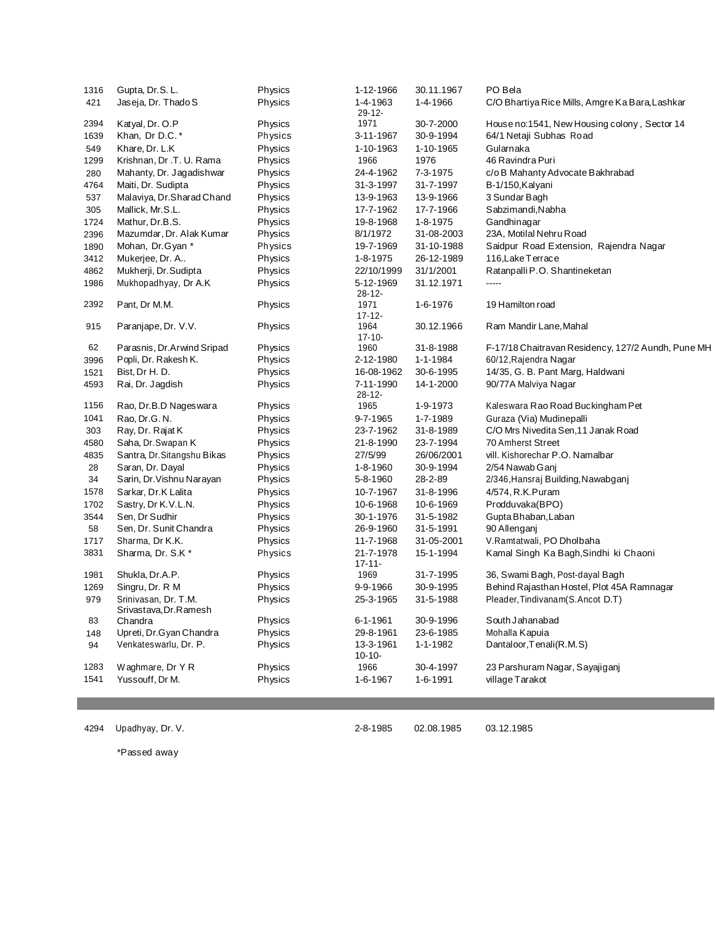| 1316 | Gupta, Dr.S. L.                                | Physics        | 1-12-1966                | 30.11.1967    | PO Bela                                            |
|------|------------------------------------------------|----------------|--------------------------|---------------|----------------------------------------------------|
| 421  | Jaseja, Dr. Thado S                            | Physics        | 1-4-1963<br>$29 - 12 -$  | 1-4-1966      | C/O Bhartiya Rice Mills, Amgre Ka Bara, Lashkar    |
| 2394 | Katyal, Dr. O.P                                | Physics        | 1971                     | 30-7-2000     | House no:1541, New Housing colony, Sector 14       |
| 1639 | Khan, Dr D.C.*                                 | Physics        | 3-11-1967                | 30-9-1994     | 64/1 Netaji Subhas Road                            |
| 549  | Khare, Dr. L.K                                 | Physics        | 1-10-1963                | 1-10-1965     | Gularnaka                                          |
| 1299 | Krishnan, Dr .T. U. Rama                       | Physics        | 1966                     | 1976          | 46 Ravindra Puri                                   |
| 280  | Mahanty, Dr. Jagadishwar                       | Physics        | 24-4-1962                | 7-3-1975      | c/o B Mahanty Advocate Bakhrabad                   |
| 4764 | Maiti, Dr. Sudipta                             | Physics        | 31-3-1997                | 31-7-1997     | B-1/150, Kalyani                                   |
| 537  | Malaviya, Dr.Sharad Chand                      | Physics        | 13-9-1963                | 13-9-1966     | 3 Sundar Bagh                                      |
| 305  | Mallick, Mr.S.L.                               | Physics        | 17-7-1962                | 17-7-1966     | Sabzimandi, Nabha                                  |
| 1724 | Mathur, Dr.B.S.                                | Physics        | 19-8-1968                | 1-8-1975      | Gandhinagar                                        |
| 2396 | Mazumdar, Dr. Alak Kumar                       | Physics        | 8/1/1972                 | 31-08-2003    | 23A, Motilal Nehru Road                            |
| 1890 | Mohan, Dr. Gyan *                              | <b>Physics</b> | 19-7-1969                | 31-10-1988    | Saidpur Road Extension, Rajendra Nagar             |
| 3412 | Mukerjee, Dr. A                                | Physics        | 1-8-1975                 | 26-12-1989    | 116, Lake Terrace                                  |
| 4862 | Mukherji, Dr. Sudipta                          | Physics        | 22/10/1999               | 31/1/2001     | Ratanpalli P.O. Shantineketan                      |
| 1986 | Mukhopadhyay, Dr A.K                           | Physics        | 5-12-1969<br>$28 - 12 -$ | 31.12.1971    | -----                                              |
| 2392 | Pant, Dr M.M.                                  | Physics        | 1971<br>$17 - 12 -$      | 1-6-1976      | 19 Hamilton road                                   |
| 915  | Paranjape, Dr. V.V.                            | Physics        | 1964<br>$17 - 10 -$      | 30.12.1966    | Ram Mandir Lane, Mahal                             |
| 62   | Parasnis, Dr.Arwind Sripad                     | Physics        | 1960                     | 31-8-1988     | F-17/18 Chaitravan Residency, 127/2 Aundh, Pune MH |
| 3996 | Popli, Dr. Rakesh K.                           | Physics        | 2-12-1980                | 1-1-1984      | 60/12, Rajendra Nagar                              |
| 1521 | Bist, Dr H. D.                                 | Physics        | 16-08-1962               | 30-6-1995     | 14/35, G. B. Pant Marg, Haldwani                   |
| 4593 | Rai, Dr. Jagdish                               | Physics        | 7-11-1990<br>$28 - 12 -$ | 14-1-2000     | 90/77A Malviya Nagar                               |
| 1156 | Rao, Dr.B.D Nageswara                          | Physics        | 1965                     | 1-9-1973      | Kaleswara Rao Road Buckingham Pet                  |
| 1041 | Rao, Dr.G. N.                                  | Physics        | 9-7-1965                 | 1-7-1989      | Guraza (Via) Mudinepalli                           |
| 303  | Ray, Dr. Rajat K                               | Physics        | 23-7-1962                | 31-8-1989     | C/O Mrs Nivedita Sen, 11 Janak Road                |
| 4580 | Saha, Dr. Swapan K                             | Physics        | 21-8-1990                | 23-7-1994     | 70 Amherst Street                                  |
| 4835 | Santra, Dr. Sitangshu Bikas                    | Physics        | 27/5/99                  | 26/06/2001    | vill. Kishorechar P.O. Namalbar                    |
| 28   | Saran, Dr. Dayal                               | Physics        | 1-8-1960                 | 30-9-1994     | 2/54 Nawab Ganj                                    |
| 34   | Sarin, Dr. Vishnu Narayan                      | Physics        | 5-8-1960                 | $28 - 2 - 89$ | 2/346,Hansraj Building,Nawabganj                   |
| 1578 | Sarkar, Dr.K Lalita                            | Physics        | 10-7-1967                | 31-8-1996     | 4/574, R.K.Puram                                   |
| 1702 | Sastry, Dr K.V.L.N.                            | Physics        | 10-6-1968                | 10-6-1969     | Prodduvaka(BPO)                                    |
| 3544 | Sen, Dr Sudhir                                 | Physics        | 30-1-1976                | 31-5-1982     | Gupta Bhaban, Laban                                |
| 58   | Sen, Dr. Sunit Chandra                         | Physics        | 26-9-1960                | 31-5-1991     | 90 Allenganj                                       |
| 1717 | Sharma, Dr K.K.                                | Physics        | 11-7-1968                | 31-05-2001    | V.Ramtatwali, PO Dholbaha                          |
| 3831 | Sharma, Dr. S.K*                               | Physics        | 21-7-1978<br>$17 - 11 -$ | 15-1-1994     | Kamal Singh Ka Bagh, Sindhi ki Chaoni              |
| 1981 | Shukla, Dr.A.P.                                | Physics        | 1969                     | 31-7-1995     | 36, Swami Bagh, Post-dayal Bagh                    |
| 1269 | Singru, Dr. R M                                | Physics        | 9-9-1966                 | 30-9-1995     | Behind Rajasthan Hostel, Plot 45A Ramnagar         |
| 979  | Srinivasan, Dr. T.M.<br>Srivastava, Dr. Ramesh | Physics        | 25-3-1965                | 31-5-1988     | Pleader, Tindivanam (S. Ancot D.T)                 |
| 83   | Chandra                                        | Physics        | 6-1-1961                 | 30-9-1996     | South Jahanabad                                    |
| 148  | Upreti, Dr.Gyan Chandra                        | Physics        | 29-8-1961                | 23-6-1985     | Mohalla Kapuia                                     |
| 94   | Venkateswarlu, Dr. P.                          | Physics        | 13-3-1961<br>$10 - 10 -$ | 1-1-1982      | Dantaloor, Tenali (R.M.S)                          |
| 1283 | Waghmare, Dr Y R                               | Physics        | 1966                     | 30-4-1997     | 23 Parshuram Nagar, Sayajiganj                     |
| 1541 | Yussouff, Dr M.                                | Physics        | 1-6-1967                 | 1-6-1991      | village Tarakot                                    |

4294 Upadhyay, Dr. V. 2-8-1985 02.08.1985 03.12.1985

\*Passed away